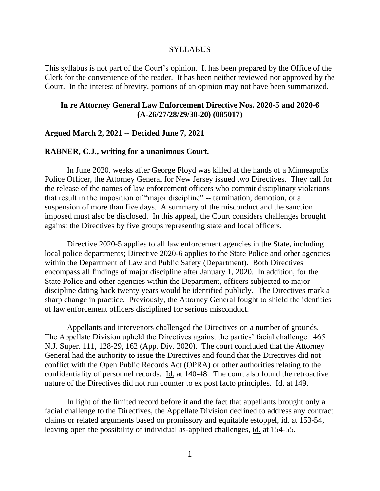#### SYLLABUS

This syllabus is not part of the Court's opinion. It has been prepared by the Office of the Clerk for the convenience of the reader. It has been neither reviewed nor approved by the Court. In the interest of brevity, portions of an opinion may not have been summarized.

## **In re Attorney General Law Enforcement Directive Nos. 2020-5 and 2020-6 (A-26/27/28/29/30-20) (085017)**

## **Argued March 2, 2021 -- Decided June 7, 2021**

## **RABNER, C.J., writing for a unanimous Court.**

In June 2020, weeks after George Floyd was killed at the hands of a Minneapolis Police Officer, the Attorney General for New Jersey issued two Directives. They call for the release of the names of law enforcement officers who commit disciplinary violations that result in the imposition of "major discipline" -- termination, demotion, or a suspension of more than five days. A summary of the misconduct and the sanction imposed must also be disclosed. In this appeal, the Court considers challenges brought against the Directives by five groups representing state and local officers.

Directive 2020-5 applies to all law enforcement agencies in the State, including local police departments; Directive 2020-6 applies to the State Police and other agencies within the Department of Law and Public Safety (Department). Both Directives encompass all findings of major discipline after January 1, 2020. In addition, for the State Police and other agencies within the Department, officers subjected to major discipline dating back twenty years would be identified publicly. The Directives mark a sharp change in practice. Previously, the Attorney General fought to shield the identities of law enforcement officers disciplined for serious misconduct.

Appellants and intervenors challenged the Directives on a number of grounds. The Appellate Division upheld the Directives against the parties' facial challenge. 465 N.J. Super. 111, 128-29, 162 (App. Div. 2020). The court concluded that the Attorney General had the authority to issue the Directives and found that the Directives did not conflict with the Open Public Records Act (OPRA) or other authorities relating to the confidentiality of personnel records. Id. at 140-48. The court also found the retroactive nature of the Directives did not run counter to ex post facto principles. Id. at 149.

In light of the limited record before it and the fact that appellants brought only a facial challenge to the Directives, the Appellate Division declined to address any contract claims or related arguments based on promissory and equitable estoppel, id. at 153-54, leaving open the possibility of individual as-applied challenges, id. at 154-55.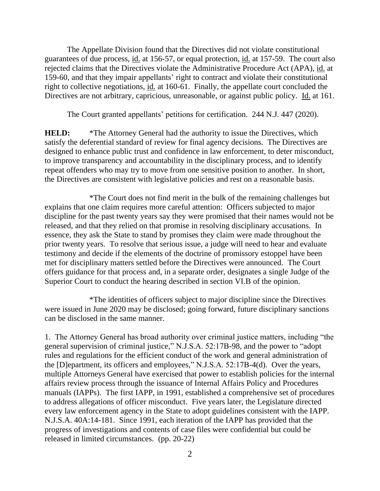The Appellate Division found that the Directives did not violate constitutional guarantees of due process, id. at 156-57, or equal protection, id. at 157-59. The court also rejected claims that the Directives violate the Administrative Procedure Act (APA), id. at 159-60, and that they impair appellants' right to contract and violate their constitutional right to collective negotiations, id. at 160-61. Finally, the appellate court concluded the Directives are not arbitrary, capricious, unreasonable, or against public policy. Id. at 161.

The Court granted appellants' petitions for certification. 244 N.J. 447 (2020).

**HELD:** \*The Attorney General had the authority to issue the Directives, which satisfy the deferential standard of review for final agency decisions. The Directives are designed to enhance public trust and confidence in law enforcement, to deter misconduct, to improve transparency and accountability in the disciplinary process, and to identify repeat offenders who may try to move from one sensitive position to another. In short, the Directives are consistent with legislative policies and rest on a reasonable basis.

\*The Court does not find merit in the bulk of the remaining challenges but explains that one claim requires more careful attention: Officers subjected to major discipline for the past twenty years say they were promised that their names would not be released, and that they relied on that promise in resolving disciplinary accusations. In essence, they ask the State to stand by promises they claim were made throughout the prior twenty years. To resolve that serious issue, a judge will need to hear and evaluate testimony and decide if the elements of the doctrine of promissory estoppel have been met for disciplinary matters settled before the Directives were announced. The Court offers guidance for that process and, in a separate order, designates a single Judge of the Superior Court to conduct the hearing described in section VI.B of the opinion.

\*The identities of officers subject to major discipline since the Directives were issued in June 2020 may be disclosed; going forward, future disciplinary sanctions can be disclosed in the same manner.

1. The Attorney General has broad authority over criminal justice matters, including "the general supervision of criminal justice," N.J.S.A. 52:17B-98, and the power to "adopt rules and regulations for the efficient conduct of the work and general administration of the [D]epartment, its officers and employees," N.J.S.A. 52:17B-4(d). Over the years, multiple Attorneys General have exercised that power to establish policies for the internal affairs review process through the issuance of Internal Affairs Policy and Procedures manuals (IAPPs). The first IAPP, in 1991, established a comprehensive set of procedures to address allegations of officer misconduct. Five years later, the Legislature directed every law enforcement agency in the State to adopt guidelines consistent with the IAPP. N.J.S.A. 40A:14-181. Since 1991, each iteration of the IAPP has provided that the progress of investigations and contents of case files were confidential but could be released in limited circumstances. (pp. 20-22)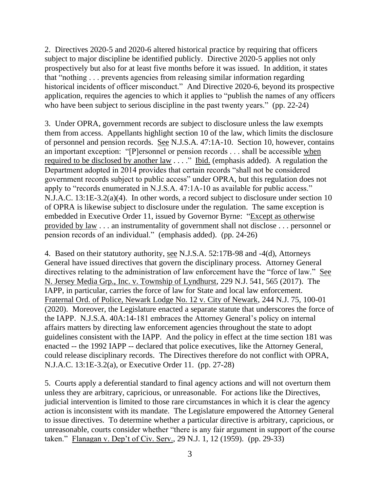2. Directives 2020-5 and 2020-6 altered historical practice by requiring that officers subject to major discipline be identified publicly. Directive 2020-5 applies not only prospectively but also for at least five months before it was issued. In addition, it states that "nothing . . . prevents agencies from releasing similar information regarding historical incidents of officer misconduct." And Directive 2020-6, beyond its prospective application, requires the agencies to which it applies to "publish the names of any officers who have been subject to serious discipline in the past twenty years." (pp. 22-24)

3. Under OPRA, government records are subject to disclosure unless the law exempts them from access. Appellants highlight section 10 of the law, which limits the disclosure of personnel and pension records. See N.J.S.A. 47:1A-10. Section 10, however, contains an important exception: "[P]ersonnel or pension records . . . shall be accessible when required to be disclosed by another law . . . ." Ibid. (emphasis added). A regulation the Department adopted in 2014 provides that certain records "shall not be considered government records subject to public access" under OPRA, but this regulation does not apply to "records enumerated in N.J.S.A. 47:1A-10 as available for public access." N.J.A.C. 13:1E-3.2(a)(4). In other words, a record subject to disclosure under section 10 of OPRA is likewise subject to disclosure under the regulation. The same exception is embedded in Executive Order 11, issued by Governor Byrne: "Except as otherwise provided by law . . . an instrumentality of government shall not disclose . . . personnel or pension records of an individual." (emphasis added). (pp. 24-26)

4. Based on their statutory authority, see N.J.S.A. 52:17B-98 and -4(d), Attorneys General have issued directives that govern the disciplinary process. Attorney General directives relating to the administration of law enforcement have the "force of law." See N. Jersey Media Grp., Inc. v. Township of Lyndhurst, 229 N.J. 541, 565 (2017). The IAPP, in particular, carries the force of law for State and local law enforcement. Fraternal Ord. of Police, Newark Lodge No. 12 v. City of Newark, 244 N.J. 75, 100-01 (2020). Moreover, the Legislature enacted a separate statute that underscores the force of the IAPP. N.J.S.A. 40A:14-181 embraces the Attorney General's policy on internal affairs matters by directing law enforcement agencies throughout the state to adopt guidelines consistent with the IAPP. And the policy in effect at the time section 181 was enacted -- the 1992 IAPP -- declared that police executives, like the Attorney General, could release disciplinary records. The Directives therefore do not conflict with OPRA, N.J.A.C. 13:1E-3.2(a), or Executive Order 11. (pp. 27-28)

5. Courts apply a deferential standard to final agency actions and will not overturn them unless they are arbitrary, capricious, or unreasonable. For actions like the Directives, judicial intervention is limited to those rare circumstances in which it is clear the agency action is inconsistent with its mandate. The Legislature empowered the Attorney General to issue directives. To determine whether a particular directive is arbitrary, capricious, or unreasonable, courts consider whether "there is any fair argument in support of the course taken." Flanagan v. Dep't of Civ. Serv., 29 N.J. 1, 12 (1959). (pp. 29-33)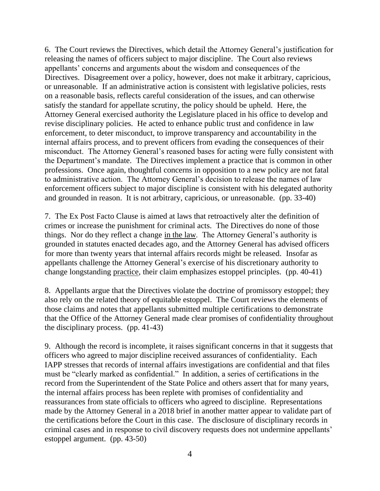6. The Court reviews the Directives, which detail the Attorney General's justification for releasing the names of officers subject to major discipline. The Court also reviews appellants' concerns and arguments about the wisdom and consequences of the Directives. Disagreement over a policy, however, does not make it arbitrary, capricious, or unreasonable. If an administrative action is consistent with legislative policies, rests on a reasonable basis, reflects careful consideration of the issues, and can otherwise satisfy the standard for appellate scrutiny, the policy should be upheld. Here, the Attorney General exercised authority the Legislature placed in his office to develop and revise disciplinary policies. He acted to enhance public trust and confidence in law enforcement, to deter misconduct, to improve transparency and accountability in the internal affairs process, and to prevent officers from evading the consequences of their misconduct. The Attorney General's reasoned bases for acting were fully consistent with the Department's mandate. The Directives implement a practice that is common in other professions. Once again, thoughtful concerns in opposition to a new policy are not fatal to administrative action. The Attorney General's decision to release the names of law enforcement officers subject to major discipline is consistent with his delegated authority and grounded in reason. It is not arbitrary, capricious, or unreasonable. (pp. 33-40)

7. The Ex Post Facto Clause is aimed at laws that retroactively alter the definition of crimes or increase the punishment for criminal acts. The Directives do none of those things. Nor do they reflect a change in the law. The Attorney General's authority is grounded in statutes enacted decades ago, and the Attorney General has advised officers for more than twenty years that internal affairs records might be released. Insofar as appellants challenge the Attorney General's exercise of his discretionary authority to change longstanding practice, their claim emphasizes estoppel principles. (pp. 40-41)

8. Appellants argue that the Directives violate the doctrine of promissory estoppel; they also rely on the related theory of equitable estoppel. The Court reviews the elements of those claims and notes that appellants submitted multiple certifications to demonstrate that the Office of the Attorney General made clear promises of confidentiality throughout the disciplinary process. (pp. 41-43)

9. Although the record is incomplete, it raises significant concerns in that it suggests that officers who agreed to major discipline received assurances of confidentiality. Each IAPP stresses that records of internal affairs investigations are confidential and that files must be "clearly marked as confidential." In addition, a series of certifications in the record from the Superintendent of the State Police and others assert that for many years, the internal affairs process has been replete with promises of confidentiality and reassurances from state officials to officers who agreed to discipline. Representations made by the Attorney General in a 2018 brief in another matter appear to validate part of the certifications before the Court in this case. The disclosure of disciplinary records in criminal cases and in response to civil discovery requests does not undermine appellants' estoppel argument. (pp. 43-50)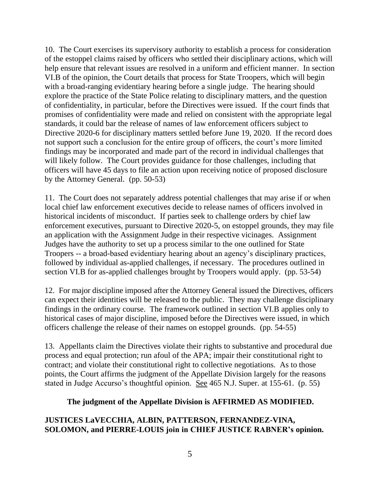10. The Court exercises its supervisory authority to establish a process for consideration of the estoppel claims raised by officers who settled their disciplinary actions, which will help ensure that relevant issues are resolved in a uniform and efficient manner. In section VI.B of the opinion, the Court details that process for State Troopers, which will begin with a broad-ranging evidentiary hearing before a single judge. The hearing should explore the practice of the State Police relating to disciplinary matters, and the question of confidentiality, in particular, before the Directives were issued. If the court finds that promises of confidentiality were made and relied on consistent with the appropriate legal standards, it could bar the release of names of law enforcement officers subject to Directive 2020-6 for disciplinary matters settled before June 19, 2020. If the record does not support such a conclusion for the entire group of officers, the court's more limited findings may be incorporated and made part of the record in individual challenges that will likely follow. The Court provides guidance for those challenges, including that officers will have 45 days to file an action upon receiving notice of proposed disclosure by the Attorney General. (pp. 50-53)

11. The Court does not separately address potential challenges that may arise if or when local chief law enforcement executives decide to release names of officers involved in historical incidents of misconduct. If parties seek to challenge orders by chief law enforcement executives, pursuant to Directive 2020-5, on estoppel grounds, they may file an application with the Assignment Judge in their respective vicinages. Assignment Judges have the authority to set up a process similar to the one outlined for State Troopers -- a broad-based evidentiary hearing about an agency's disciplinary practices, followed by individual as-applied challenges, if necessary. The procedures outlined in section VI.B for as-applied challenges brought by Troopers would apply. (pp. 53-54)

12. For major discipline imposed after the Attorney General issued the Directives, officers can expect their identities will be released to the public. They may challenge disciplinary findings in the ordinary course. The framework outlined in section VI.B applies only to historical cases of major discipline, imposed before the Directives were issued, in which officers challenge the release of their names on estoppel grounds. (pp. 54-55)

13. Appellants claim the Directives violate their rights to substantive and procedural due process and equal protection; run afoul of the APA; impair their constitutional right to contract; and violate their constitutional right to collective negotiations. As to those points, the Court affirms the judgment of the Appellate Division largely for the reasons stated in Judge Accurso's thoughtful opinion. See 465 N.J. Super. at 155-61. (p. 55)

## **The judgment of the Appellate Division is AFFIRMED AS MODIFIED.**

# **JUSTICES LaVECCHIA, ALBIN, PATTERSON, FERNANDEZ-VINA, SOLOMON, and PIERRE-LOUIS join in CHIEF JUSTICE RABNER's opinion.**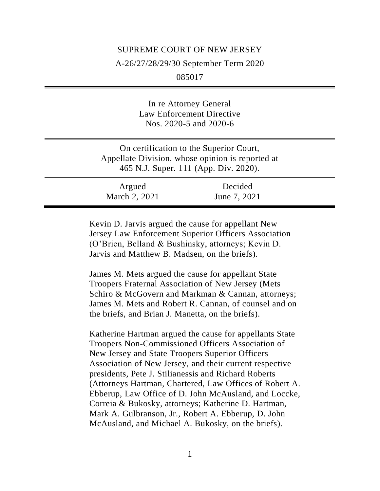# SUPREME COURT OF NEW JERSEY A-26/27/28/29/30 September Term 2020 085017

In re Attorney General Law Enforcement Directive Nos. 2020-5 and 2020-6

On certification to the Superior Court, Appellate Division, whose opinion is reported at 465 N.J. Super. 111 (App. Div. 2020).

Argued March 2, 2021 Decided June 7, 2021

Kevin D. Jarvis argued the cause for appellant New Jersey Law Enforcement Superior Officers Association (O'Brien, Belland & Bushinsky, attorneys; Kevin D. Jarvis and Matthew B. Madsen, on the briefs).

James M. Mets argued the cause for appellant State Troopers Fraternal Association of New Jersey (Mets Schiro & McGovern and Markman & Cannan, attorneys; James M. Mets and Robert R. Cannan, of counsel and on the briefs, and Brian J. Manetta, on the briefs).

Katherine Hartman argued the cause for appellants State Troopers Non-Commissioned Officers Association of New Jersey and State Troopers Superior Officers Association of New Jersey, and their current respective presidents, Pete J. Stilianessis and Richard Roberts (Attorneys Hartman, Chartered, Law Offices of Robert A. Ebberup, Law Office of D. John McAusland, and Loccke, Correia & Bukosky, attorneys; Katherine D. Hartman, Mark A. Gulbranson, Jr., Robert A. Ebberup, D. John McAusland, and Michael A. Bukosky, on the briefs).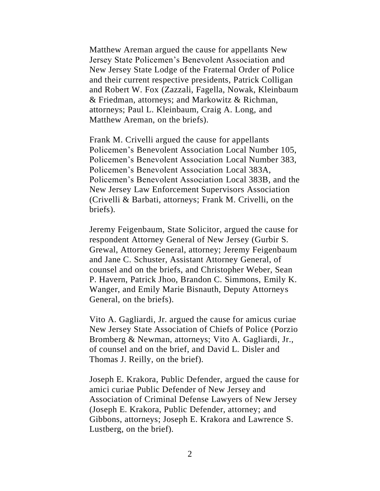Matthew Areman argued the cause for appellants New Jersey State Policemen's Benevolent Association and New Jersey State Lodge of the Fraternal Order of Police and their current respective presidents, Patrick Colligan and Robert W. Fox (Zazzali, Fagella, Nowak, Kleinbaum & Friedman, attorneys; and Markowitz & Richman, attorneys; Paul L. Kleinbaum, Craig A. Long, and Matthew Areman, on the briefs).

Frank M. Crivelli argued the cause for appellants Policemen's Benevolent Association Local Number 105, Policemen's Benevolent Association Local Number 383, Policemen's Benevolent Association Local 383A, Policemen's Benevolent Association Local 383B, and the New Jersey Law Enforcement Supervisors Association (Crivelli & Barbati, attorneys; Frank M. Crivelli, on the briefs).

Jeremy Feigenbaum, State Solicitor, argued the cause for respondent Attorney General of New Jersey (Gurbir S. Grewal, Attorney General, attorney; Jeremy Feigenbaum and Jane C. Schuster, Assistant Attorney General, of counsel and on the briefs, and Christopher Weber, Sean P. Havern, Patrick Jhoo, Brandon C. Simmons, Emily K. Wanger, and Emily Marie Bisnauth, Deputy Attorneys General, on the briefs).

Vito A. Gagliardi, Jr. argued the cause for amicus curiae New Jersey State Association of Chiefs of Police (Porzio Bromberg & Newman, attorneys; Vito A. Gagliardi, Jr., of counsel and on the brief, and David L. Disler and Thomas J. Reilly, on the brief).

Joseph E. Krakora, Public Defender, argued the cause for amici curiae Public Defender of New Jersey and Association of Criminal Defense Lawyers of New Jersey (Joseph E. Krakora, Public Defender, attorney; and Gibbons, attorneys; Joseph E. Krakora and Lawrence S. Lustberg, on the brief).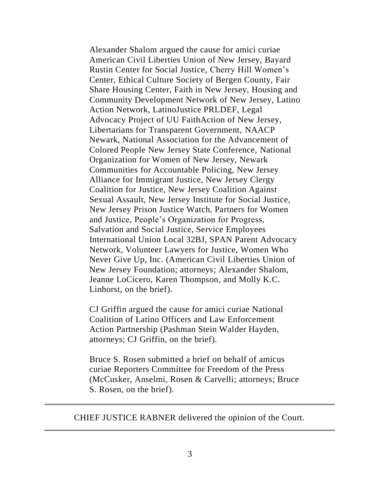Alexander Shalom argued the cause for amici curiae American Civil Liberties Union of New Jersey, Bayard Rustin Center for Social Justice, Cherry Hill Women's Center, Ethical Culture Society of Bergen County, Fair Share Housing Center, Faith in New Jersey, Housing and Community Development Network of New Jersey, Latino Action Network, LatinoJustice PRLDEF, Legal Advocacy Project of UU FaithAction of New Jersey, Libertarians for Transparent Government, NAACP Newark, National Association for the Advancement of Colored People New Jersey State Conference, National Organization for Women of New Jersey, Newark Communities for Accountable Policing, New Jersey Alliance for Immigrant Justice, New Jersey Clergy Coalition for Justice, New Jersey Coalition Against Sexual Assault, New Jersey Institute for Social Justice, New Jersey Prison Justice Watch, Partners for Women and Justice, People's Organization for Progress, Salvation and Social Justice, Service Employees International Union Local 32BJ, SPAN Parent Advocacy Network, Volunteer Lawyers for Justice, Women Who Never Give Up, Inc. (American Civil Liberties Union of New Jersey Foundation; attorneys; Alexander Shalom, Jeanne LoCicero, Karen Thompson, and Molly K.C. Linhorst, on the brief).

CJ Griffin argued the cause for amici curiae National Coalition of Latino Officers and Law Enforcement Action Partnership (Pashman Stein Walder Hayden, attorneys; CJ Griffin, on the brief).

Bruce S. Rosen submitted a brief on behalf of amicus curiae Reporters Committee for Freedom of the Press (McCusker, Anselmi, Rosen & Carvelli; attorneys; Bruce S. Rosen, on the brief).

CHIEF JUSTICE RABNER delivered the opinion of the Court.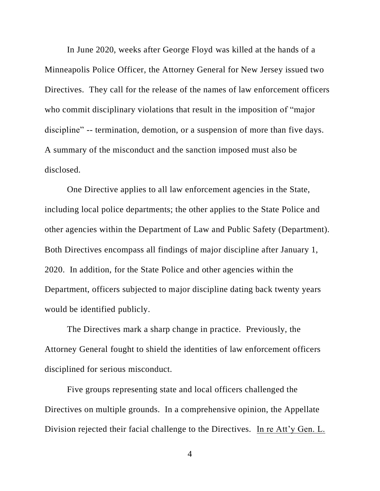In June 2020, weeks after George Floyd was killed at the hands of a Minneapolis Police Officer, the Attorney General for New Jersey issued two Directives. They call for the release of the names of law enforcement officers who commit disciplinary violations that result in the imposition of "major discipline" -- termination, demotion, or a suspension of more than five days. A summary of the misconduct and the sanction imposed must also be disclosed.

One Directive applies to all law enforcement agencies in the State, including local police departments; the other applies to the State Police and other agencies within the Department of Law and Public Safety (Department). Both Directives encompass all findings of major discipline after January 1, 2020. In addition, for the State Police and other agencies within the Department, officers subjected to major discipline dating back twenty years would be identified publicly.

The Directives mark a sharp change in practice. Previously, the Attorney General fought to shield the identities of law enforcement officers disciplined for serious misconduct.

Five groups representing state and local officers challenged the Directives on multiple grounds. In a comprehensive opinion, the Appellate Division rejected their facial challenge to the Directives. In re Att'y Gen. L.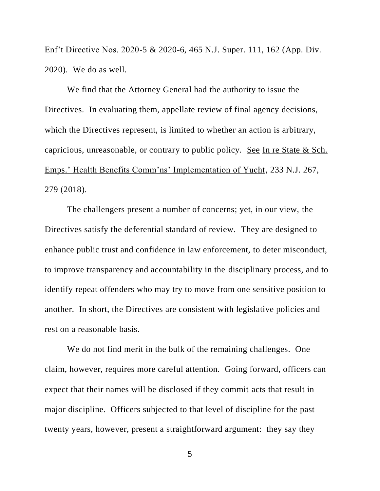Enf't Directive Nos. 2020-5 & 2020-6, 465 N.J. Super. 111, 162 (App. Div. 2020). We do as well.

We find that the Attorney General had the authority to issue the Directives. In evaluating them, appellate review of final agency decisions, which the Directives represent, is limited to whether an action is arbitrary, capricious, unreasonable, or contrary to public policy. See In re State & Sch. Emps.' Health Benefits Comm'ns' Implementation of Yucht, 233 N.J. 267, 279 (2018).

The challengers present a number of concerns; yet, in our view, the Directives satisfy the deferential standard of review. They are designed to enhance public trust and confidence in law enforcement, to deter misconduct, to improve transparency and accountability in the disciplinary process, and to identify repeat offenders who may try to move from one sensitive position to another. In short, the Directives are consistent with legislative policies and rest on a reasonable basis.

We do not find merit in the bulk of the remaining challenges. One claim, however, requires more careful attention. Going forward, officers can expect that their names will be disclosed if they commit acts that result in major discipline. Officers subjected to that level of discipline for the past twenty years, however, present a straightforward argument: they say they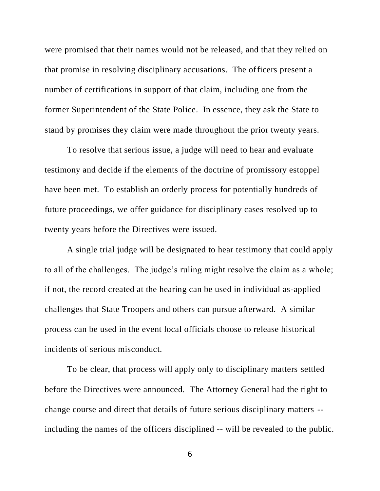were promised that their names would not be released, and that they relied on that promise in resolving disciplinary accusations. The officers present a number of certifications in support of that claim, including one from the former Superintendent of the State Police. In essence, they ask the State to stand by promises they claim were made throughout the prior twenty years.

To resolve that serious issue, a judge will need to hear and evaluate testimony and decide if the elements of the doctrine of promissory estoppel have been met. To establish an orderly process for potentially hundreds of future proceedings, we offer guidance for disciplinary cases resolved up to twenty years before the Directives were issued.

A single trial judge will be designated to hear testimony that could apply to all of the challenges. The judge's ruling might resolve the claim as a whole; if not, the record created at the hearing can be used in individual as-applied challenges that State Troopers and others can pursue afterward. A similar process can be used in the event local officials choose to release historical incidents of serious misconduct.

To be clear, that process will apply only to disciplinary matters settled before the Directives were announced. The Attorney General had the right to change course and direct that details of future serious disciplinary matters - including the names of the officers disciplined -- will be revealed to the public.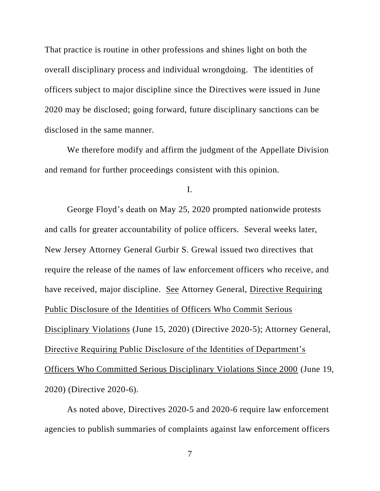That practice is routine in other professions and shines light on both the overall disciplinary process and individual wrongdoing. The identities of officers subject to major discipline since the Directives were issued in June 2020 may be disclosed; going forward, future disciplinary sanctions can be disclosed in the same manner.

We therefore modify and affirm the judgment of the Appellate Division and remand for further proceedings consistent with this opinion.

I.

George Floyd's death on May 25, 2020 prompted nationwide protests and calls for greater accountability of police officers. Several weeks later, New Jersey Attorney General Gurbir S. Grewal issued two directives that require the release of the names of law enforcement officers who receive, and have received, major discipline. See Attorney General, Directive Requiring Public Disclosure of the Identities of Officers Who Commit Serious Disciplinary Violations (June 15, 2020) (Directive 2020-5); Attorney General, Directive Requiring Public Disclosure of the Identities of Department's Officers Who Committed Serious Disciplinary Violations Since 2000 (June 19, 2020) (Directive 2020-6).

As noted above, Directives 2020-5 and 2020-6 require law enforcement agencies to publish summaries of complaints against law enforcement officers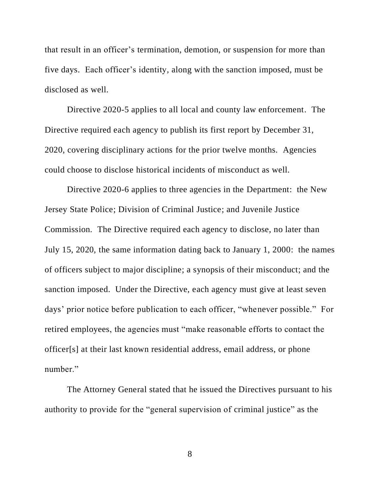that result in an officer's termination, demotion, or suspension for more than five days. Each officer's identity, along with the sanction imposed, must be disclosed as well.

Directive 2020-5 applies to all local and county law enforcement. The Directive required each agency to publish its first report by December 31, 2020, covering disciplinary actions for the prior twelve months. Agencies could choose to disclose historical incidents of misconduct as well.

Directive 2020-6 applies to three agencies in the Department: the New Jersey State Police; Division of Criminal Justice; and Juvenile Justice Commission. The Directive required each agency to disclose, no later than July 15, 2020, the same information dating back to January 1, 2000: the names of officers subject to major discipline; a synopsis of their misconduct; and the sanction imposed. Under the Directive, each agency must give at least seven days' prior notice before publication to each officer, "whenever possible." For retired employees, the agencies must "make reasonable efforts to contact the officer[s] at their last known residential address, email address, or phone number."

The Attorney General stated that he issued the Directives pursuant to his authority to provide for the "general supervision of criminal justice" as the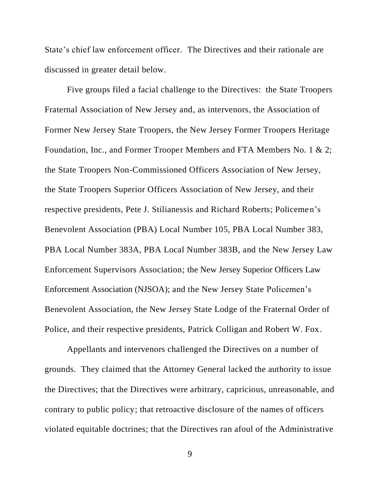State's chief law enforcement officer. The Directives and their rationale are discussed in greater detail below.

Five groups filed a facial challenge to the Directives: the State Troopers Fraternal Association of New Jersey and, as intervenors, the Association of Former New Jersey State Troopers, the New Jersey Former Troopers Heritage Foundation, Inc., and Former Trooper Members and FTA Members No. 1 & 2; the State Troopers Non-Commissioned Officers Association of New Jersey, the State Troopers Superior Officers Association of New Jersey, and their respective presidents, Pete J. Stilianessis and Richard Roberts; Policemen's Benevolent Association (PBA) Local Number 105, PBA Local Number 383, PBA Local Number 383A, PBA Local Number 383B, and the New Jersey Law Enforcement Supervisors Association; the New Jersey Superior Officers Law Enforcement Association (NJSOA); and the New Jersey State Policemen's Benevolent Association, the New Jersey State Lodge of the Fraternal Order of Police, and their respective presidents, Patrick Colligan and Robert W. Fox.

Appellants and intervenors challenged the Directives on a number of grounds. They claimed that the Attorney General lacked the authority to issue the Directives; that the Directives were arbitrary, capricious, unreasonable, and contrary to public policy; that retroactive disclosure of the names of officers violated equitable doctrines; that the Directives ran afoul of the Administrative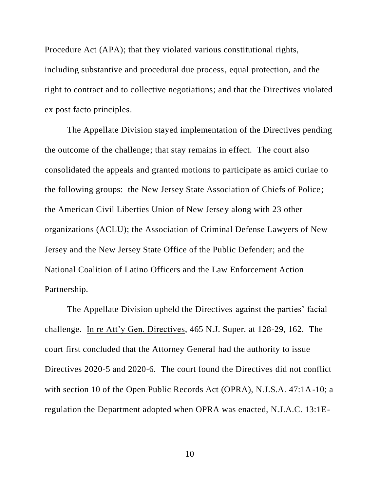Procedure Act (APA); that they violated various constitutional rights, including substantive and procedural due process, equal protection, and the right to contract and to collective negotiations; and that the Directives violated ex post facto principles.

The Appellate Division stayed implementation of the Directives pending the outcome of the challenge; that stay remains in effect.The court also consolidated the appeals and granted motions to participate as amici curiae to the following groups: the New Jersey State Association of Chiefs of Police; the American Civil Liberties Union of New Jersey along with 23 other organizations (ACLU); the Association of Criminal Defense Lawyers of New Jersey and the New Jersey State Office of the Public Defender; and the National Coalition of Latino Officers and the Law Enforcement Action Partnership.

The Appellate Division upheld the Directives against the parties' facial challenge. In re Att'y Gen. Directives, 465 N.J. Super. at 128-29, 162. The court first concluded that the Attorney General had the authority to issue Directives 2020-5 and 2020-6. The court found the Directives did not conflict with section 10 of the Open Public Records Act (OPRA), N.J.S.A. 47:1A-10; a regulation the Department adopted when OPRA was enacted, N.J.A.C. 13:1E-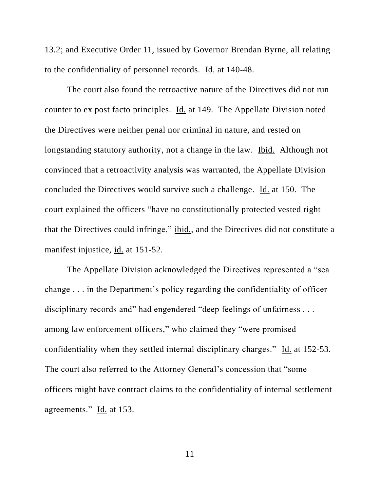13.2; and Executive Order 11, issued by Governor Brendan Byrne, all relating to the confidentiality of personnel records. Id. at 140-48.

The court also found the retroactive nature of the Directives did not run counter to ex post facto principles. Id. at 149. The Appellate Division noted the Directives were neither penal nor criminal in nature, and rested on longstanding statutory authority, not a change in the law. Ibid. Although not convinced that a retroactivity analysis was warranted, the Appellate Division concluded the Directives would survive such a challenge. Id. at 150. The court explained the officers "have no constitutionally protected vested right that the Directives could infringe," ibid., and the Directives did not constitute a manifest injustice, id. at 151-52.

The Appellate Division acknowledged the Directives represented a "sea change . . . in the Department's policy regarding the confidentiality of officer disciplinary records and" had engendered "deep feelings of unfairness . . . among law enforcement officers," who claimed they "were promised confidentiality when they settled internal disciplinary charges." Id. at 152-53. The court also referred to the Attorney General's concession that "some officers might have contract claims to the confidentiality of internal settlement agreements." Id. at 153.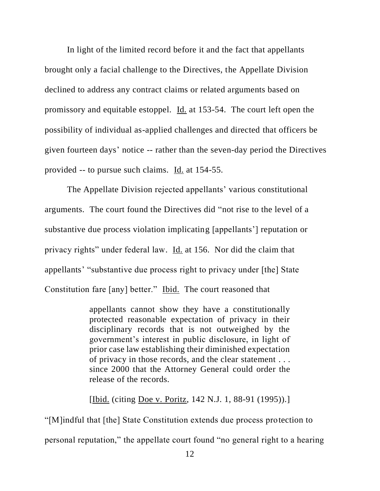In light of the limited record before it and the fact that appellants brought only a facial challenge to the Directives, the Appellate Division declined to address any contract claims or related arguments based on promissory and equitable estoppel. Id. at 153-54. The court left open the possibility of individual as-applied challenges and directed that officers be given fourteen days' notice -- rather than the seven-day period the Directives provided -- to pursue such claims. Id. at 154-55.

The Appellate Division rejected appellants' various constitutional arguments. The court found the Directives did "not rise to the level of a substantive due process violation implicating [appellants'] reputation or privacy rights" under federal law. Id. at 156. Nor did the claim that appellants' "substantive due process right to privacy under [the] State Constitution fare [any] better." Ibid. The court reasoned that

> appellants cannot show they have a constitutionally protected reasonable expectation of privacy in their disciplinary records that is not outweighed by the government's interest in public disclosure, in light of prior case law establishing their diminished expectation of privacy in those records, and the clear statement . . . since 2000 that the Attorney General could order the release of the records.

> [Ibid. (citing Doe v. Poritz, 142 N.J. 1, 88-91 (1995)).]

"[M]indful that [the] State Constitution extends due process protection to personal reputation," the appellate court found "no general right to a hearing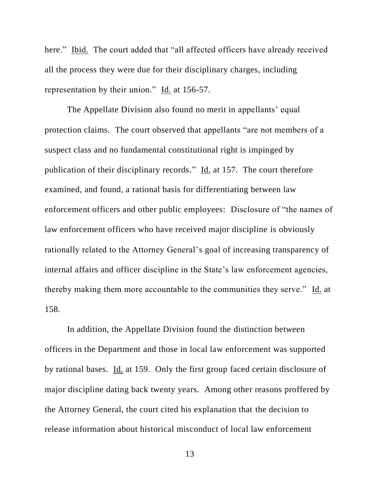here." Ibid. The court added that "all affected officers have already received all the process they were due for their disciplinary charges, including representation by their union." Id. at 156-57.

The Appellate Division also found no merit in appellants' equal protection claims. The court observed that appellants "are not members of a suspect class and no fundamental constitutional right is impinged by publication of their disciplinary records."  $\underline{Id}$  at 157. The court therefore examined, and found, a rational basis for differentiating between law enforcement officers and other public employees: Disclosure of "the names of law enforcement officers who have received major discipline is obviously rationally related to the Attorney General's goal of increasing transparency of internal affairs and officer discipline in the State's law enforcement agencies, thereby making them more accountable to the communities they serve." Id. at 158.

In addition, the Appellate Division found the distinction between officers in the Department and those in local law enforcement was supported by rational bases. Id. at 159. Only the first group faced certain disclosure of major discipline dating back twenty years. Among other reasons proffered by the Attorney General, the court cited his explanation that the decision to release information about historical misconduct of local law enforcement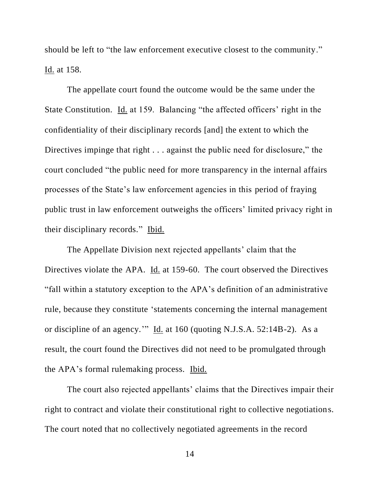should be left to "the law enforcement executive closest to the community." Id. at 158.

The appellate court found the outcome would be the same under the State Constitution. Id. at 159. Balancing "the affected officers' right in the confidentiality of their disciplinary records [and] the extent to which the Directives impinge that right . . . against the public need for disclosure," the court concluded "the public need for more transparency in the internal affairs processes of the State's law enforcement agencies in this period of fraying public trust in law enforcement outweighs the officers' limited privacy right in their disciplinary records." Ibid.

The Appellate Division next rejected appellants' claim that the Directives violate the APA. Id. at 159-60. The court observed the Directives "fall within a statutory exception to the APA's definition of an administrative rule, because they constitute 'statements concerning the internal management or discipline of an agency.'" Id. at 160 (quoting N.J.S.A. 52:14B-2). As a result, the court found the Directives did not need to be promulgated through the APA's formal rulemaking process. Ibid.

The court also rejected appellants' claims that the Directives impair their right to contract and violate their constitutional right to collective negotiations. The court noted that no collectively negotiated agreements in the record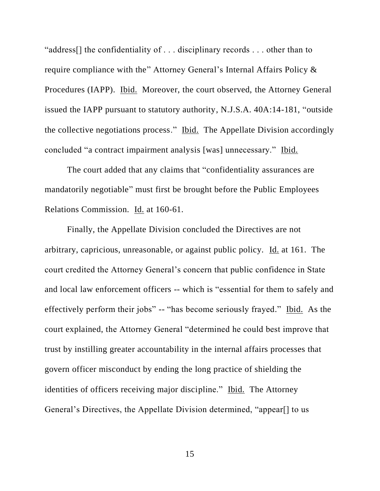"address[] the confidentiality of . . . disciplinary records . . . other than to require compliance with the" Attorney General's Internal Affairs Policy & Procedures (IAPP). Ibid. Moreover, the court observed, the Attorney General issued the IAPP pursuant to statutory authority, N.J.S.A. 40A:14-181, "outside the collective negotiations process." Ibid. The Appellate Division accordingly concluded "a contract impairment analysis [was] unnecessary." Ibid.

The court added that any claims that "confidentiality assurances are mandatorily negotiable" must first be brought before the Public Employees Relations Commission. Id. at 160-61.

Finally, the Appellate Division concluded the Directives are not arbitrary, capricious, unreasonable, or against public policy. Id. at 161. The court credited the Attorney General's concern that public confidence in State and local law enforcement officers -- which is "essential for them to safely and effectively perform their jobs" -- "has become seriously frayed." Ibid. As the court explained, the Attorney General "determined he could best improve that trust by instilling greater accountability in the internal affairs processes that govern officer misconduct by ending the long practice of shielding the identities of officers receiving major discipline." Ibid. The Attorney General's Directives, the Appellate Division determined, "appear[] to us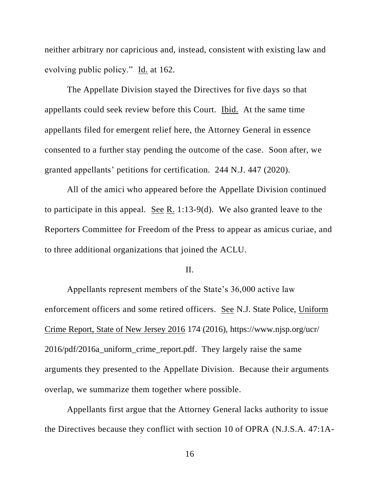neither arbitrary nor capricious and, instead, consistent with existing law and evolving public policy." Id. at 162.

The Appellate Division stayed the Directives for five days so that appellants could seek review before this Court. Ibid. At the same time appellants filed for emergent relief here, the Attorney General in essence consented to a further stay pending the outcome of the case. Soon after, we granted appellants' petitions for certification. 244 N.J. 447 (2020).

All of the amici who appeared before the Appellate Division continued to participate in this appeal. See R. 1:13-9(d). We also granted leave to the Reporters Committee for Freedom of the Press to appear as amicus curiae, and to three additional organizations that joined the ACLU.

## II.

Appellants represent members of the State's 36,000 active law enforcement officers and some retired officers. See N.J. State Police, Uniform Crime Report, State of New Jersey 2016 174 (2016), https://www.njsp.org/ucr/ 2016/pdf/2016a\_uniform\_crime\_report.pdf. They largely raise the same arguments they presented to the Appellate Division. Because their arguments overlap, we summarize them together where possible.

Appellants first argue that the Attorney General lacks authority to issue the Directives because they conflict with section 10 of OPRA (N.J.S.A. 47:1A-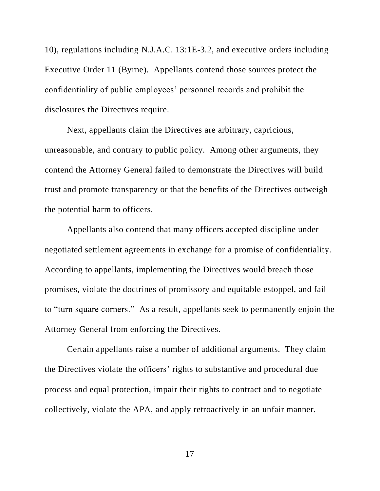10), regulations including N.J.A.C. 13:1E-3.2, and executive orders including Executive Order 11 (Byrne). Appellants contend those sources protect the confidentiality of public employees' personnel records and prohibit the disclosures the Directives require.

Next, appellants claim the Directives are arbitrary, capricious, unreasonable, and contrary to public policy. Among other arguments, they contend the Attorney General failed to demonstrate the Directives will build trust and promote transparency or that the benefits of the Directives outweigh the potential harm to officers.

Appellants also contend that many officers accepted discipline under negotiated settlement agreements in exchange for a promise of confidentiality. According to appellants, implementing the Directives would breach those promises, violate the doctrines of promissory and equitable estoppel, and fail to "turn square corners." As a result, appellants seek to permanently enjoin the Attorney General from enforcing the Directives.

Certain appellants raise a number of additional arguments. They claim the Directives violate the officers' rights to substantive and procedural due process and equal protection, impair their rights to contract and to negotiate collectively, violate the APA, and apply retroactively in an unfair manner.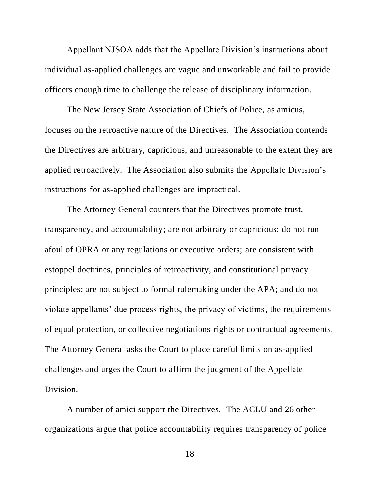Appellant NJSOA adds that the Appellate Division's instructions about individual as-applied challenges are vague and unworkable and fail to provide officers enough time to challenge the release of disciplinary information.

The New Jersey State Association of Chiefs of Police, as amicus, focuses on the retroactive nature of the Directives. The Association contends the Directives are arbitrary, capricious, and unreasonable to the extent they are applied retroactively. The Association also submits the Appellate Division's instructions for as-applied challenges are impractical.

The Attorney General counters that the Directives promote trust, transparency, and accountability; are not arbitrary or capricious; do not run afoul of OPRA or any regulations or executive orders; are consistent with estoppel doctrines, principles of retroactivity, and constitutional privacy principles; are not subject to formal rulemaking under the APA; and do not violate appellants' due process rights, the privacy of victims, the requirements of equal protection, or collective negotiations rights or contractual agreements. The Attorney General asks the Court to place careful limits on as-applied challenges and urges the Court to affirm the judgment of the Appellate Division.

A number of amici support the Directives. The ACLU and 26 other organizations argue that police accountability requires transparency of police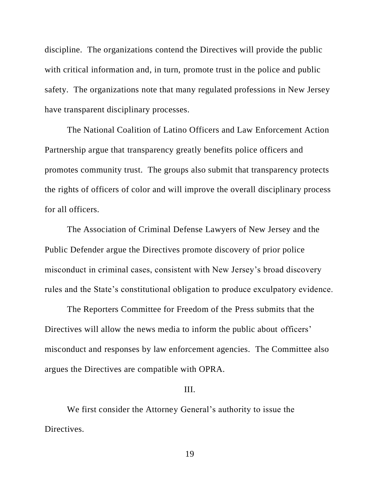discipline. The organizations contend the Directives will provide the public with critical information and, in turn, promote trust in the police and public safety. The organizations note that many regulated professions in New Jersey have transparent disciplinary processes.

The National Coalition of Latino Officers and Law Enforcement Action Partnership argue that transparency greatly benefits police officers and promotes community trust. The groups also submit that transparency protects the rights of officers of color and will improve the overall disciplinary process for all officers.

The Association of Criminal Defense Lawyers of New Jersey and the Public Defender argue the Directives promote discovery of prior police misconduct in criminal cases, consistent with New Jersey's broad discovery rules and the State's constitutional obligation to produce exculpatory evidence.

The Reporters Committee for Freedom of the Press submits that the Directives will allow the news media to inform the public about officers' misconduct and responses by law enforcement agencies. The Committee also argues the Directives are compatible with OPRA.

## III.

We first consider the Attorney General's authority to issue the Directives.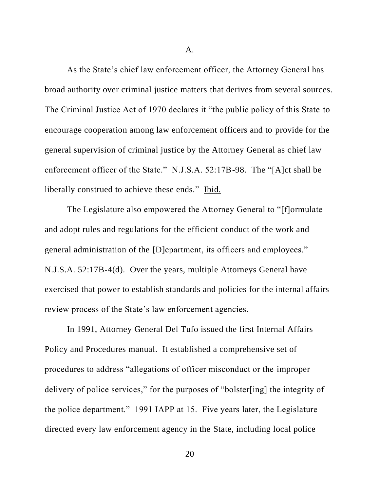A.

As the State's chief law enforcement officer, the Attorney General has broad authority over criminal justice matters that derives from several sources. The Criminal Justice Act of 1970 declares it "the public policy of this State to encourage cooperation among law enforcement officers and to provide for the general supervision of criminal justice by the Attorney General as chief law enforcement officer of the State." N.J.S.A. 52:17B-98. The "[A]ct shall be liberally construed to achieve these ends." Ibid.

The Legislature also empowered the Attorney General to "[f]ormulate and adopt rules and regulations for the efficient conduct of the work and general administration of the [D]epartment, its officers and employees." N.J.S.A. 52:17B-4(d). Over the years, multiple Attorneys General have exercised that power to establish standards and policies for the internal affairs review process of the State's law enforcement agencies.

In 1991, Attorney General Del Tufo issued the first Internal Affairs Policy and Procedures manual. It established a comprehensive set of procedures to address "allegations of officer misconduct or the improper delivery of police services," for the purposes of "bolster[ing] the integrity of the police department." 1991 IAPP at 15. Five years later, the Legislature directed every law enforcement agency in the State, including local police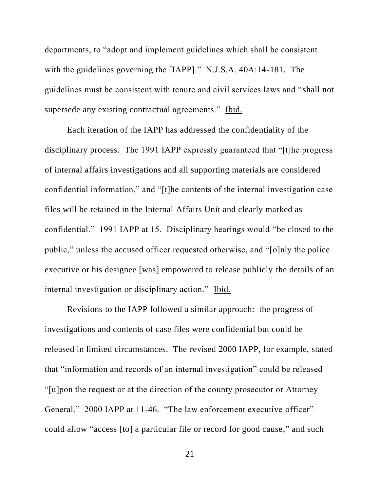departments, to "adopt and implement guidelines which shall be consistent with the guidelines governing the [IAPP]." N.J.S.A. 40A:14-181. The guidelines must be consistent with tenure and civil services laws and "shall not supersede any existing contractual agreements." Ibid.

Each iteration of the IAPP has addressed the confidentiality of the disciplinary process. The 1991 IAPP expressly guaranteed that "[t]he progress of internal affairs investigations and all supporting materials are considered confidential information," and "[t]he contents of the internal investigation case files will be retained in the Internal Affairs Unit and clearly marked as confidential." 1991 IAPP at 15. Disciplinary hearings would "be closed to the public," unless the accused officer requested otherwise, and "[o]nly the police executive or his designee [was] empowered to release publicly the details of an internal investigation or disciplinary action." Ibid.

Revisions to the IAPP followed a similar approach: the progress of investigations and contents of case files were confidential but could be released in limited circumstances. The revised 2000 IAPP, for example, stated that "information and records of an internal investigation" could be released "[u]pon the request or at the direction of the county prosecutor or Attorney General." 2000 IAPP at 11-46. "The law enforcement executive officer" could allow "access [to] a particular file or record for good cause," and such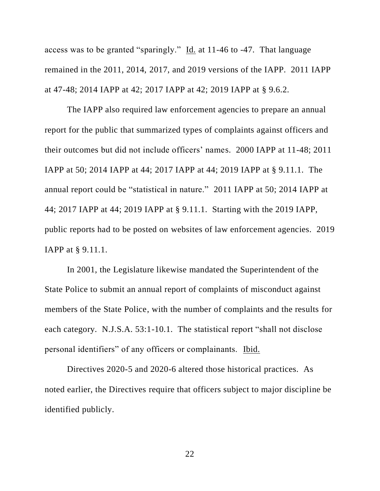access was to be granted "sparingly." Id. at 11-46 to -47. That language remained in the 2011, 2014, 2017, and 2019 versions of the IAPP. 2011 IAPP at 47-48; 2014 IAPP at 42; 2017 IAPP at 42; 2019 IAPP at § 9.6.2.

The IAPP also required law enforcement agencies to prepare an annual report for the public that summarized types of complaints against officers and their outcomes but did not include officers' names. 2000 IAPP at 11-48; 2011 IAPP at 50; 2014 IAPP at 44; 2017 IAPP at 44; 2019 IAPP at § 9.11.1. The annual report could be "statistical in nature." 2011 IAPP at 50; 2014 IAPP at 44; 2017 IAPP at 44; 2019 IAPP at § 9.11.1. Starting with the 2019 IAPP, public reports had to be posted on websites of law enforcement agencies. 2019 IAPP at § 9.11.1.

In 2001, the Legislature likewise mandated the Superintendent of the State Police to submit an annual report of complaints of misconduct against members of the State Police, with the number of complaints and the results for each category. N.J.S.A. 53:1-10.1. The statistical report "shall not disclose personal identifiers" of any officers or complainants. Ibid.

Directives 2020-5 and 2020-6 altered those historical practices. As noted earlier, the Directives require that officers subject to major discipline be identified publicly.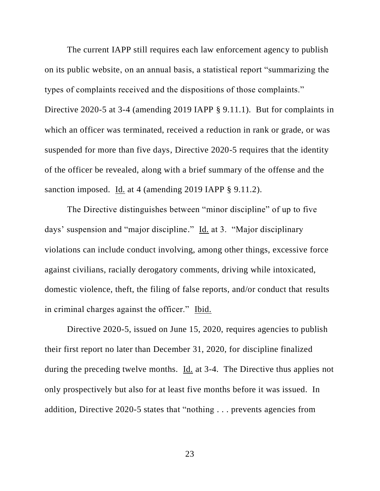The current IAPP still requires each law enforcement agency to publish on its public website, on an annual basis, a statistical report "summarizing the types of complaints received and the dispositions of those complaints." Directive 2020-5 at 3-4 (amending 2019 IAPP § 9.11.1). But for complaints in which an officer was terminated, received a reduction in rank or grade, or was suspended for more than five days, Directive 2020-5 requires that the identity of the officer be revealed, along with a brief summary of the offense and the sanction imposed. Id. at 4 (amending 2019 IAPP § 9.11.2).

The Directive distinguishes between "minor discipline" of up to five days' suspension and "major discipline." Id. at 3. "Major disciplinary violations can include conduct involving, among other things, excessive force against civilians, racially derogatory comments, driving while intoxicated, domestic violence, theft, the filing of false reports, and/or conduct that results in criminal charges against the officer." Ibid.

Directive 2020-5, issued on June 15, 2020, requires agencies to publish their first report no later than December 31, 2020, for discipline finalized during the preceding twelve months. Id. at 3-4. The Directive thus applies not only prospectively but also for at least five months before it was issued. In addition, Directive 2020-5 states that "nothing . . . prevents agencies from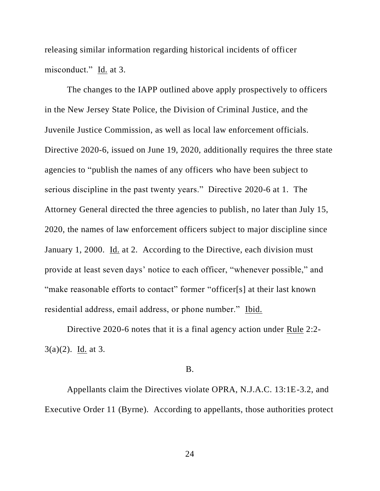releasing similar information regarding historical incidents of officer misconduct." Id. at 3.

The changes to the IAPP outlined above apply prospectively to officers in the New Jersey State Police, the Division of Criminal Justice, and the Juvenile Justice Commission, as well as local law enforcement officials. Directive 2020-6, issued on June 19, 2020, additionally requires the three state agencies to "publish the names of any officers who have been subject to serious discipline in the past twenty years." Directive 2020-6 at 1. The Attorney General directed the three agencies to publish, no later than July 15, 2020, the names of law enforcement officers subject to major discipline since January 1, 2000. Id. at 2. According to the Directive, each division must provide at least seven days' notice to each officer, "whenever possible," and "make reasonable efforts to contact" former "officer[s] at their last known residential address, email address, or phone number." Ibid.

Directive 2020-6 notes that it is a final agency action under Rule 2:2- 3(a)(2). Id. at 3.

## B.

Appellants claim the Directives violate OPRA, N.J.A.C. 13:1E-3.2, and Executive Order 11 (Byrne). According to appellants, those authorities protect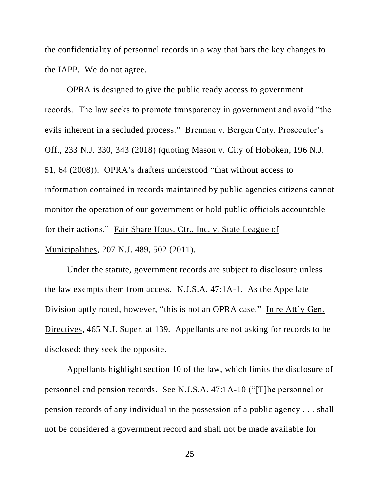the confidentiality of personnel records in a way that bars the key changes to the IAPP. We do not agree.

OPRA is designed to give the public ready access to government records. The law seeks to promote transparency in government and avoid "the evils inherent in a secluded process." Brennan v. Bergen Cnty. Prosecutor's Off., 233 N.J. 330, 343 (2018) (quoting Mason v. City of Hoboken, 196 N.J. 51, 64 (2008)). OPRA's drafters understood "that without access to information contained in records maintained by public agencies citizens cannot monitor the operation of our government or hold public officials accountable for their actions." Fair Share Hous. Ctr., Inc. v. State League of Municipalities, 207 N.J. 489, 502 (2011).

Under the statute, government records are subject to disclosure unless the law exempts them from access. N.J.S.A. 47:1A-1. As the Appellate Division aptly noted, however, "this is not an OPRA case." In re Att'y Gen. Directives, 465 N.J. Super. at 139. Appellants are not asking for records to be disclosed; they seek the opposite.

Appellants highlight section 10 of the law, which limits the disclosure of personnel and pension records. See N.J.S.A. 47:1A-10 ("[T]he personnel or pension records of any individual in the possession of a public agency . . . shall not be considered a government record and shall not be made available for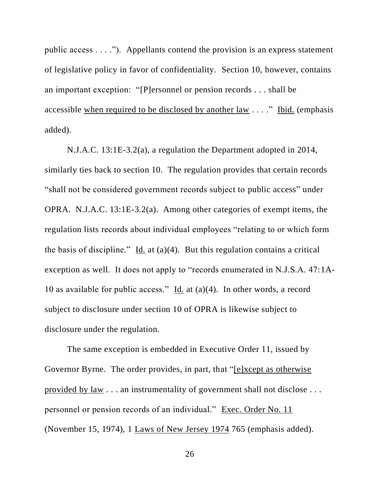public access  $\dots$ ."). Appellants contend the provision is an express statement of legislative policy in favor of confidentiality. Section 10, however, contains an important exception: "[P]ersonnel or pension records . . . shall be accessible when required to be disclosed by another law . . . ." Ibid. (emphasis added).

N.J.A.C. 13:1E-3.2(a), a regulation the Department adopted in 2014, similarly ties back to section 10. The regulation provides that certain records "shall not be considered government records subject to public access" under OPRA. N.J.A.C. 13:1E-3.2(a). Among other categories of exempt items, the regulation lists records about individual employees "relating to or which form the basis of discipline." Id. at  $(a)(4)$ . But this regulation contains a critical exception as well. It does not apply to "records enumerated in N.J.S.A. 47:1A-10 as available for public access."  $\underline{Id}$  at (a)(4). In other words, a record subject to disclosure under section 10 of OPRA is likewise subject to disclosure under the regulation.

The same exception is embedded in Executive Order 11, issued by Governor Byrne. The order provides, in part, that "[e]xcept as otherwise provided by law . . . an instrumentality of government shall not disclose . . . personnel or pension records of an individual." Exec. Order No. 11 (November 15, 1974), 1 Laws of New Jersey 1974 765 (emphasis added).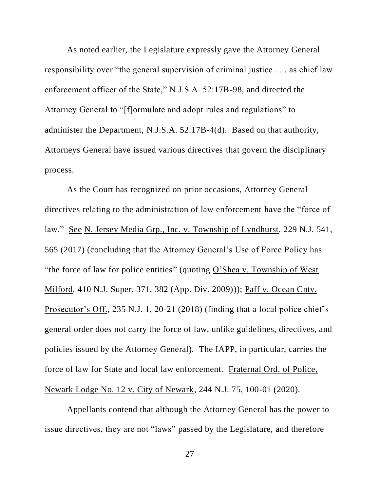As noted earlier, the Legislature expressly gave the Attorney General responsibility over "the general supervision of criminal justice . . . as chief law enforcement officer of the State," N.J.S.A. 52:17B-98, and directed the Attorney General to "[f]ormulate and adopt rules and regulations" to administer the Department, N.J.S.A. 52:17B-4(d). Based on that authority, Attorneys General have issued various directives that govern the disciplinary process.

As the Court has recognized on prior occasions, Attorney General directives relating to the administration of law enforcement have the "force of law." See N. Jersey Media Grp., Inc. v. Township of Lyndhurst, 229 N.J. 541, 565 (2017) (concluding that the Attorney General's Use of Force Policy has "the force of law for police entities" (quoting O'Shea v. Township of West Milford, 410 N.J. Super. 371, 382 (App. Div. 2009))); Paff v. Ocean Cnty. Prosecutor's Off., 235 N.J. 1, 20-21 (2018) (finding that a local police chief's general order does not carry the force of law, unlike guidelines, directives, and policies issued by the Attorney General). The IAPP, in particular, carries the force of law for State and local law enforcement. Fraternal Ord. of Police, Newark Lodge No. 12 v. City of Newark, 244 N.J. 75, 100-01 (2020).

Appellants contend that although the Attorney General has the power to issue directives, they are not "laws" passed by the Legislature, and therefore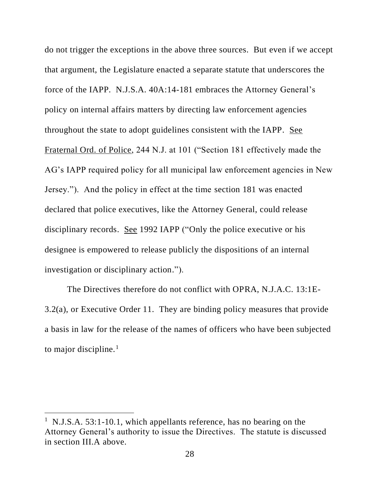do not trigger the exceptions in the above three sources. But even if we accept that argument, the Legislature enacted a separate statute that underscores the force of the IAPP. N.J.S.A. 40A:14-181 embraces the Attorney General's policy on internal affairs matters by directing law enforcement agencies throughout the state to adopt guidelines consistent with the IAPP. See Fraternal Ord. of Police, 244 N.J. at 101 ("Section 181 effectively made the AG's IAPP required policy for all municipal law enforcement agencies in New Jersey."). And the policy in effect at the time section 181 was enacted declared that police executives, like the Attorney General, could release disciplinary records. See 1992 IAPP ("Only the police executive or his designee is empowered to release publicly the dispositions of an internal investigation or disciplinary action.").

The Directives therefore do not conflict with OPRA, N.J.A.C. 13:1E-3.2(a), or Executive Order 11. They are binding policy measures that provide a basis in law for the release of the names of officers who have been subjected to major discipline. $<sup>1</sup>$ </sup>

<sup>&</sup>lt;sup>1</sup> N.J.S.A. 53:1-10.1, which appellants reference, has no bearing on the Attorney General's authority to issue the Directives. The statute is discussed in section III.A above.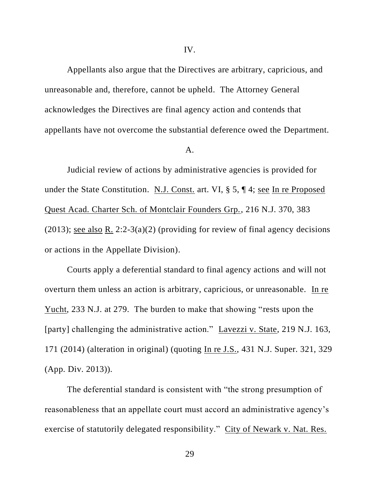Appellants also argue that the Directives are arbitrary, capricious, and unreasonable and, therefore, cannot be upheld. The Attorney General acknowledges the Directives are final agency action and contends that appellants have not overcome the substantial deference owed the Department.

#### A.

Judicial review of actions by administrative agencies is provided for under the State Constitution. N.J. Const. art. VI, § 5, ¶ 4; see In re Proposed Quest Acad. Charter Sch. of Montclair Founders Grp., 216 N.J. 370, 383 (2013); <u>see also R.</u> 2:2-3(a)(2) (providing for review of final agency decisions or actions in the Appellate Division).

Courts apply a deferential standard to final agency actions and will not overturn them unless an action is arbitrary, capricious, or unreasonable. In re Yucht, 233 N.J. at 279. The burden to make that showing "rests upon the [party] challenging the administrative action." Lavezzi v. State, 219 N.J. 163, 171 (2014) (alteration in original) (quoting In re J.S., 431 N.J. Super. 321, 329 (App. Div. 2013)).

The deferential standard is consistent with "the strong presumption of reasonableness that an appellate court must accord an administrative agency's exercise of statutorily delegated responsibility." City of Newark v. Nat. Res.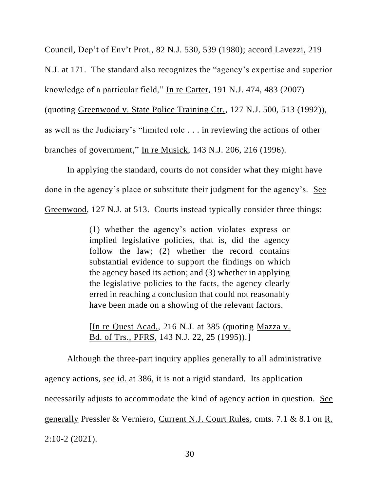Council, Dep't of Env't Prot., 82 N.J. 530, 539 (1980); accord Lavezzi, 219 N.J. at 171. The standard also recognizes the "agency's expertise and superior knowledge of a particular field," In re Carter, 191 N.J. 474, 483 (2007) (quoting Greenwood v. State Police Training Ctr., 127 N.J. 500, 513 (1992)), as well as the Judiciary's "limited role . . . in reviewing the actions of other branches of government," In re Musick, 143 N.J. 206, 216 (1996).

In applying the standard, courts do not consider what they might have done in the agency's place or substitute their judgment for the agency's. See Greenwood, 127 N.J. at 513. Courts instead typically consider three things:

> (1) whether the agency's action violates express or implied legislative policies, that is, did the agency follow the law; (2) whether the record contains substantial evidence to support the findings on which the agency based its action; and (3) whether in applying the legislative policies to the facts, the agency clearly erred in reaching a conclusion that could not reasonably have been made on a showing of the relevant factors.

> [In re Quest Acad., 216 N.J. at 385 (quoting Mazza v. Bd. of Trs., PFRS, 143 N.J. 22, 25 (1995)).]

Although the three-part inquiry applies generally to all administrative agency actions, see id. at 386, it is not a rigid standard. Its application necessarily adjusts to accommodate the kind of agency action in question. See generally Pressler & Verniero, Current N.J. Court Rules, cmts. 7.1 & 8.1 on R. 2:10-2 (2021).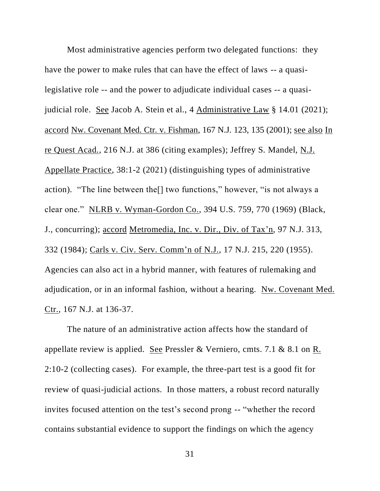Most administrative agencies perform two delegated functions: they have the power to make rules that can have the effect of laws -- a quasilegislative role -- and the power to adjudicate individual cases -- a quasijudicial role. See Jacob A. Stein et al., 4 Administrative Law § 14.01 (2021); accord Nw. Covenant Med. Ctr. v. Fishman, 167 N.J. 123, 135 (2001); see also In re Quest Acad., 216 N.J. at 386 (citing examples); Jeffrey S. Mandel, N.J. Appellate Practice, 38:1-2 (2021) (distinguishing types of administrative action). "The line between the[] two functions," however, "is not always a clear one." NLRB v. Wyman-Gordon Co., 394 U.S. 759, 770 (1969) (Black, J., concurring); accord Metromedia, Inc. v. Dir., Div. of Tax'n, 97 N.J. 313, 332 (1984); Carls v. Civ. Serv. Comm'n of N.J., 17 N.J. 215, 220 (1955). Agencies can also act in a hybrid manner, with features of rulemaking and adjudication, or in an informal fashion, without a hearing. Nw. Covenant Med. Ctr., 167 N.J. at 136-37.

The nature of an administrative action affects how the standard of appellate review is applied. See Pressler & Verniero, cmts. 7.1 & 8.1 on R. 2:10-2 (collecting cases). For example, the three-part test is a good fit for review of quasi-judicial actions. In those matters, a robust record naturally invites focused attention on the test's second prong -- "whether the record contains substantial evidence to support the findings on which the agency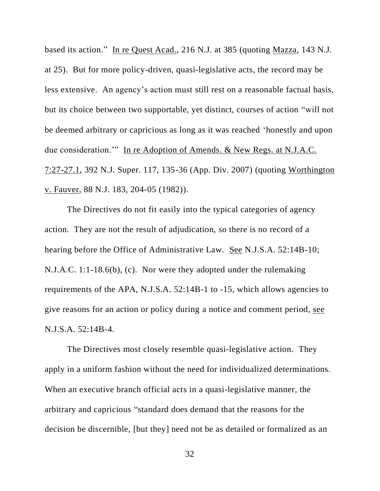based its action." In re Quest Acad., 216 N.J. at 385 (quoting Mazza, 143 N.J. at 25). But for more policy-driven, quasi-legislative acts, the record may be less extensive. An agency's action must still rest on a reasonable factual basis, but its choice between two supportable, yet distinct, courses of action "will not be deemed arbitrary or capricious as long as it was reached 'honestly and upon due consideration.'" In re Adoption of Amends. & New Regs. at N.J.A.C. 7:27-27.1, 392 N.J. Super. 117, 135-36 (App. Div. 2007) (quoting Worthington v. Fauver, 88 N.J. 183, 204-05 (1982)).

The Directives do not fit easily into the typical categories of agency action. They are not the result of adjudication, so there is no record of a hearing before the Office of Administrative Law. See N.J.S.A. 52:14B-10; N.J.A.C. 1:1-18.6(b), (c). Nor were they adopted under the rulemaking requirements of the APA, N.J.S.A. 52:14B-1 to -15, which allows agencies to give reasons for an action or policy during a notice and comment period, see N.J.S.A. 52:14B-4.

The Directives most closely resemble quasi-legislative action. They apply in a uniform fashion without the need for individualized determinations. When an executive branch official acts in a quasi-legislative manner, the arbitrary and capricious "standard does demand that the reasons for the decision be discernible, [but they] need not be as detailed or formalized as an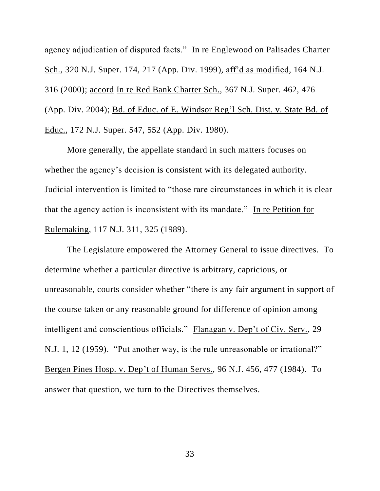agency adjudication of disputed facts." In re Englewood on Palisades Charter Sch., 320 N.J. Super. 174, 217 (App. Div. 1999), aff'd as modified, 164 N.J. 316 (2000); accord In re Red Bank Charter Sch., 367 N.J. Super. 462, 476 (App. Div. 2004); Bd. of Educ. of E. Windsor Reg'l Sch. Dist. v. State Bd. of Educ., 172 N.J. Super. 547, 552 (App. Div. 1980).

More generally, the appellate standard in such matters focuses on whether the agency's decision is consistent with its delegated authority. Judicial intervention is limited to "those rare circumstances in which it is clear that the agency action is inconsistent with its mandate." In re Petition for Rulemaking, 117 N.J. 311, 325 (1989).

The Legislature empowered the Attorney General to issue directives. To determine whether a particular directive is arbitrary, capricious, or unreasonable, courts consider whether "there is any fair argument in support of the course taken or any reasonable ground for difference of opinion among intelligent and conscientious officials." Flanagan v. Dep't of Civ. Serv., 29 N.J. 1, 12 (1959). "Put another way, is the rule unreasonable or irrational?" Bergen Pines Hosp. v. Dep't of Human Servs., 96 N.J. 456, 477 (1984). To answer that question, we turn to the Directives themselves.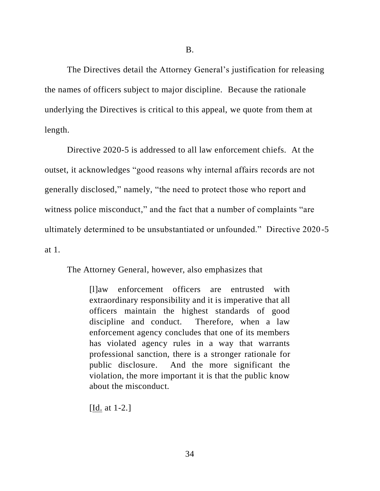The Directives detail the Attorney General's justification for releasing the names of officers subject to major discipline. Because the rationale underlying the Directives is critical to this appeal, we quote from them at length.

Directive 2020-5 is addressed to all law enforcement chiefs. At the outset, it acknowledges "good reasons why internal affairs records are not generally disclosed," namely, "the need to protect those who report and witness police misconduct," and the fact that a number of complaints "are ultimately determined to be unsubstantiated or unfounded." Directive 2020-5 at 1.

The Attorney General, however, also emphasizes that

[l]aw enforcement officers are entrusted with extraordinary responsibility and it is imperative that all officers maintain the highest standards of good discipline and conduct. Therefore, when a law enforcement agency concludes that one of its members has violated agency rules in a way that warrants professional sanction, there is a stronger rationale for public disclosure. And the more significant the violation, the more important it is that the public know about the misconduct.

[Id. at 1-2.]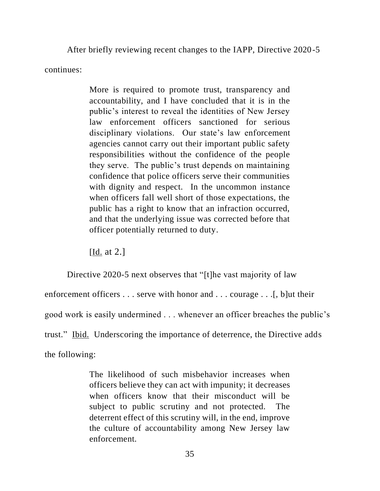After briefly reviewing recent changes to the IAPP, Directive 2020-5

continues:

More is required to promote trust, transparency and accountability, and I have concluded that it is in the public's interest to reveal the identities of New Jersey law enforcement officers sanctioned for serious disciplinary violations. Our state's law enforcement agencies cannot carry out their important public safety responsibilities without the confidence of the people they serve. The public's trust depends on maintaining confidence that police officers serve their communities with dignity and respect. In the uncommon instance when officers fall well short of those expectations, the public has a right to know that an infraction occurred, and that the underlying issue was corrected before that officer potentially returned to duty.

[**Id.** at 2.]

Directive 2020-5 next observes that "[t]he vast majority of law enforcement officers . . . serve with honor and . . . courage . . .[, b]ut their good work is easily undermined . . . whenever an officer breaches the public's trust." Ibid. Underscoring the importance of deterrence, the Directive adds the following:

> The likelihood of such misbehavior increases when officers believe they can act with impunity; it decreases when officers know that their misconduct will be subject to public scrutiny and not protected. The deterrent effect of this scrutiny will, in the end, improve the culture of accountability among New Jersey law enforcement.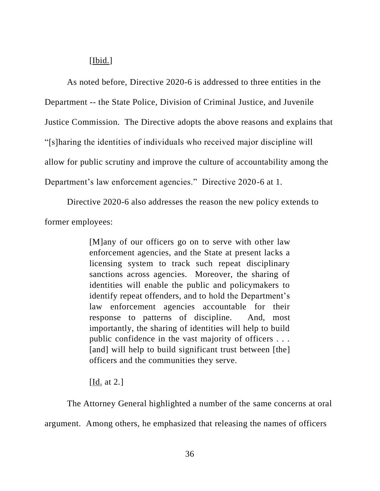## $[**I**bid.]$

As noted before, Directive 2020-6 is addressed to three entities in the Department -- the State Police, Division of Criminal Justice, and Juvenile Justice Commission. The Directive adopts the above reasons and explains that "[s]haring the identities of individuals who received major discipline will allow for public scrutiny and improve the culture of accountability among the Department's law enforcement agencies." Directive 2020-6 at 1.

Directive 2020-6 also addresses the reason the new policy extends to former employees:

> [M]any of our officers go on to serve with other law enforcement agencies, and the State at present lacks a licensing system to track such repeat disciplinary sanctions across agencies. Moreover, the sharing of identities will enable the public and policymakers to identify repeat offenders, and to hold the Department's law enforcement agencies accountable for their response to patterns of discipline. And, most importantly, the sharing of identities will help to build public confidence in the vast majority of officers . . . [and] will help to build significant trust between [the] officers and the communities they serve.

[Id. at 2.]

The Attorney General highlighted a number of the same concerns at oral argument. Among others, he emphasized that releasing the names of officers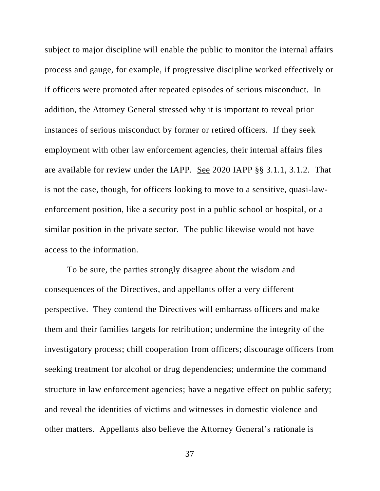subject to major discipline will enable the public to monitor the internal affairs process and gauge, for example, if progressive discipline worked effectively or if officers were promoted after repeated episodes of serious misconduct. In addition, the Attorney General stressed why it is important to reveal prior instances of serious misconduct by former or retired officers. If they seek employment with other law enforcement agencies, their internal affairs files are available for review under the IAPP. See 2020 IAPP §§ 3.1.1, 3.1.2. That is not the case, though, for officers looking to move to a sensitive, quasi-lawenforcement position, like a security post in a public school or hospital, or a similar position in the private sector. The public likewise would not have access to the information.

To be sure, the parties strongly disagree about the wisdom and consequences of the Directives, and appellants offer a very different perspective. They contend the Directives will embarrass officers and make them and their families targets for retribution; undermine the integrity of the investigatory process; chill cooperation from officers; discourage officers from seeking treatment for alcohol or drug dependencies; undermine the command structure in law enforcement agencies; have a negative effect on public safety; and reveal the identities of victims and witnesses in domestic violence and other matters. Appellants also believe the Attorney General's rationale is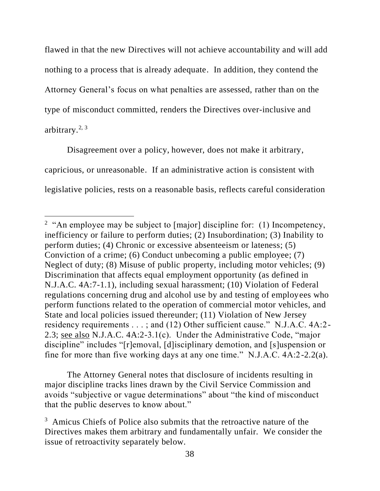flawed in that the new Directives will not achieve accountability and will add nothing to a process that is already adequate. In addition, they contend the Attorney General's focus on what penalties are assessed, rather than on the type of misconduct committed, renders the Directives over-inclusive and arbitrary. $^{2, 3}$ 

Disagreement over a policy, however, does not make it arbitrary, capricious, or unreasonable. If an administrative action is consistent with legislative policies, rests on a reasonable basis, reflects careful consideration

The Attorney General notes that disclosure of incidents resulting in major discipline tracks lines drawn by the Civil Service Commission and avoids "subjective or vague determinations" about "the kind of misconduct that the public deserves to know about."

<sup>&</sup>lt;sup>2</sup> "An employee may be subject to [major] discipline for: (1) Incompetency, inefficiency or failure to perform duties; (2) Insubordination; (3) Inability to perform duties; (4) Chronic or excessive absenteeism or lateness; (5) Conviction of a crime; (6) Conduct unbecoming a public employee; (7) Neglect of duty; (8) Misuse of public property, including motor vehicles; (9) Discrimination that affects equal employment opportunity (as defined in N.J.A.C. 4A:7-1.1), including sexual harassment; (10) Violation of Federal regulations concerning drug and alcohol use by and testing of employees who perform functions related to the operation of commercial motor vehicles, and State and local policies issued thereunder; (11) Violation of New Jersey residency requirements . . . ; and (12) Other sufficient cause." N.J.A.C. 4A:2- 2.3; see also N.J.A.C. 4A:2-3.1(c). Under the Administrative Code, "major discipline" includes "[r]emoval, [d]isciplinary demotion, and [s]uspension or fine for more than five working days at any one time." N.J.A.C. 4A:2-2.2(a).

<sup>&</sup>lt;sup>3</sup> Amicus Chiefs of Police also submits that the retroactive nature of the Directives makes them arbitrary and fundamentally unfair. We consider the issue of retroactivity separately below.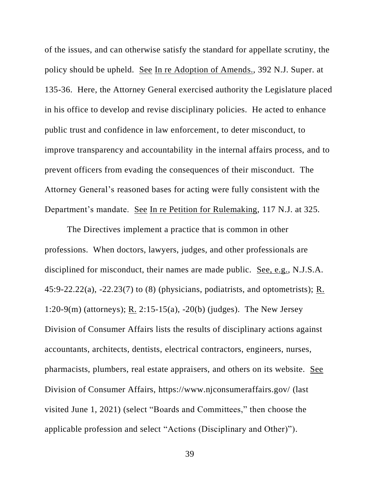of the issues, and can otherwise satisfy the standard for appellate scrutiny, the policy should be upheld. See In re Adoption of Amends., 392 N.J. Super. at 135-36. Here, the Attorney General exercised authority the Legislature placed in his office to develop and revise disciplinary policies. He acted to enhance public trust and confidence in law enforcement, to deter misconduct, to improve transparency and accountability in the internal affairs process, and to prevent officers from evading the consequences of their misconduct. The Attorney General's reasoned bases for acting were fully consistent with the Department's mandate. See In re Petition for Rulemaking, 117 N.J. at 325.

The Directives implement a practice that is common in other professions. When doctors, lawyers, judges, and other professionals are disciplined for misconduct, their names are made public. See, e.g., N.J.S.A. 45:9-22.22(a), -22.23(7) to (8) (physicians, podiatrists, and optometrists); R. 1:20-9(m) (attorneys); R. 2:15-15(a), -20(b) (judges). The New Jersey Division of Consumer Affairs lists the results of disciplinary actions against accountants, architects, dentists, electrical contractors, engineers, nurses, pharmacists, plumbers, real estate appraisers, and others on its website. See Division of Consumer Affairs, https://www.njconsumeraffairs.gov/ (last visited June 1, 2021) (select "Boards and Committees," then choose the applicable profession and select "Actions (Disciplinary and Other)").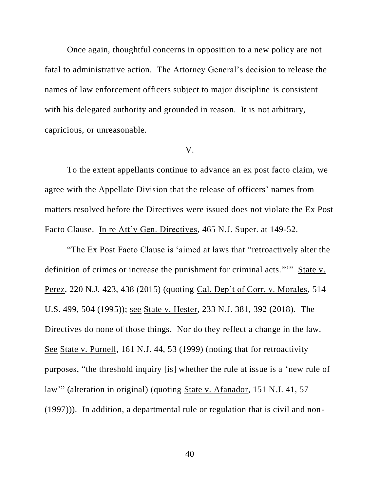Once again, thoughtful concerns in opposition to a new policy are not fatal to administrative action. The Attorney General's decision to release the names of law enforcement officers subject to major discipline is consistent with his delegated authority and grounded in reason. It is not arbitrary, capricious, or unreasonable.

#### V.

To the extent appellants continue to advance an ex post facto claim, we agree with the Appellate Division that the release of officers' names from matters resolved before the Directives were issued does not violate the Ex Post Facto Clause. In re Att'y Gen. Directives, 465 N.J. Super. at 149-52.

"The Ex Post Facto Clause is 'aimed at laws that "retroactively alter the definition of crimes or increase the punishment for criminal acts."'" State v. Perez, 220 N.J. 423, 438 (2015) (quoting Cal. Dep't of Corr. v. Morales, 514 U.S. 499, 504 (1995)); see State v. Hester, 233 N.J. 381, 392 (2018). The Directives do none of those things. Nor do they reflect a change in the law. See State v. Purnell, 161 N.J. 44, 53 (1999) (noting that for retroactivity purposes, "the threshold inquiry [is] whether the rule at issue is a 'new rule of law" (alteration in original) (quoting State v. Afanador, 151 N.J. 41, 57 (1997))). In addition, a departmental rule or regulation that is civil and non-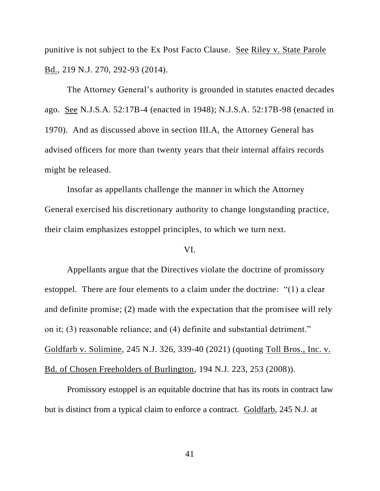punitive is not subject to the Ex Post Facto Clause. See Riley v. State Parole Bd., 219 N.J. 270, 292-93 (2014).

The Attorney General's authority is grounded in statutes enacted decades ago. See N.J.S.A. 52:17B-4 (enacted in 1948); N.J.S.A. 52:17B-98 (enacted in 1970). And as discussed above in section III.A, the Attorney General has advised officers for more than twenty years that their internal affairs records might be released.

Insofar as appellants challenge the manner in which the Attorney General exercised his discretionary authority to change longstanding practice, their claim emphasizes estoppel principles, to which we turn next.

## VI.

Appellants argue that the Directives violate the doctrine of promissory estoppel. There are four elements to a claim under the doctrine: "(1) a clear and definite promise; (2) made with the expectation that the promisee will rely on it; (3) reasonable reliance; and (4) definite and substantial detriment." Goldfarb v. Solimine, 245 N.J. 326, 339-40 (2021) (quoting Toll Bros., Inc. v. Bd. of Chosen Freeholders of Burlington, 194 N.J. 223, 253 (2008)).

Promissory estoppel is an equitable doctrine that has its roots in contract law but is distinct from a typical claim to enforce a contract. Goldfarb, 245 N.J. at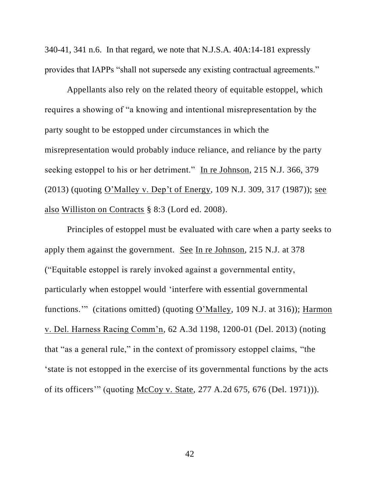340-41, 341 n.6. In that regard, we note that N.J.S.A. 40A:14-181 expressly provides that IAPPs "shall not supersede any existing contractual agreements."

Appellants also rely on the related theory of equitable estoppel, which requires a showing of "a knowing and intentional misrepresentation by the party sought to be estopped under circumstances in which the misrepresentation would probably induce reliance, and reliance by the party seeking estoppel to his or her detriment." In re Johnson, 215 N.J. 366, 379 (2013) (quoting O'Malley v. Dep't of Energy, 109 N.J. 309, 317 (1987)); see also Williston on Contracts § 8:3 (Lord ed. 2008).

Principles of estoppel must be evaluated with care when a party seeks to apply them against the government. See In re Johnson, 215 N.J. at 378 ("Equitable estoppel is rarely invoked against a governmental entity, particularly when estoppel would 'interfere with essential governmental functions."" (citations omitted) (quoting O'Malley, 109 N.J. at 316)); Harmon v. Del. Harness Racing Comm'n, 62 A.3d 1198, 1200-01 (Del. 2013) (noting that "as a general rule," in the context of promissory estoppel claims, "the 'state is not estopped in the exercise of its governmental functions by the acts of its officers'" (quoting McCoy v. State, 277 A.2d 675, 676 (Del. 1971))).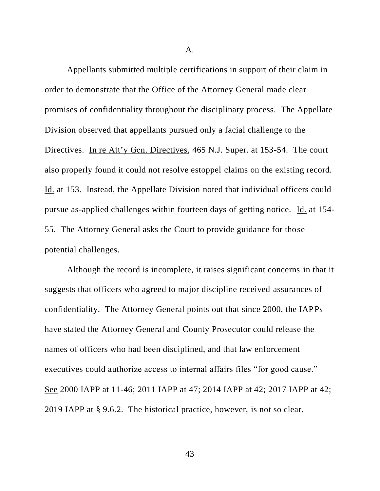A.

Appellants submitted multiple certifications in support of their claim in order to demonstrate that the Office of the Attorney General made clear promises of confidentiality throughout the disciplinary process. The Appellate Division observed that appellants pursued only a facial challenge to the Directives. In re Att'y Gen. Directives, 465 N.J. Super. at 153-54. The court also properly found it could not resolve estoppel claims on the existing record. Id. at 153. Instead, the Appellate Division noted that individual officers could pursue as-applied challenges within fourteen days of getting notice. Id. at 154- 55. The Attorney General asks the Court to provide guidance for those potential challenges.

Although the record is incomplete, it raises significant concerns in that it suggests that officers who agreed to major discipline received assurances of confidentiality. The Attorney General points out that since 2000, the IAPPs have stated the Attorney General and County Prosecutor could release the names of officers who had been disciplined, and that law enforcement executives could authorize access to internal affairs files "for good cause." See 2000 IAPP at 11-46; 2011 IAPP at 47; 2014 IAPP at 42; 2017 IAPP at 42; 2019 IAPP at § 9.6.2. The historical practice, however, is not so clear.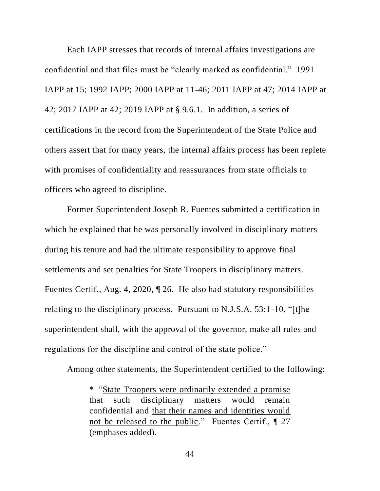Each IAPP stresses that records of internal affairs investigations are confidential and that files must be "clearly marked as confidential." 1991 IAPP at 15; 1992 IAPP; 2000 IAPP at 11-46; 2011 IAPP at 47; 2014 IAPP at 42; 2017 IAPP at 42; 2019 IAPP at § 9.6.1. In addition, a series of certifications in the record from the Superintendent of the State Police and others assert that for many years, the internal affairs process has been replete with promises of confidentiality and reassurances from state officials to officers who agreed to discipline.

Former Superintendent Joseph R. Fuentes submitted a certification in which he explained that he was personally involved in disciplinary matters during his tenure and had the ultimate responsibility to approve final settlements and set penalties for State Troopers in disciplinary matters. Fuentes Certif., Aug. 4, 2020, ¶ 26. He also had statutory responsibilities relating to the disciplinary process. Pursuant to N.J.S.A. 53:1-10, "[t]he superintendent shall, with the approval of the governor, make all rules and regulations for the discipline and control of the state police."

Among other statements, the Superintendent certified to the following:

\* "State Troopers were ordinarily extended a promise that such disciplinary matters would remain confidential and that their names and identities would not be released to the public." Fuentes Certif., ¶ 27 (emphases added).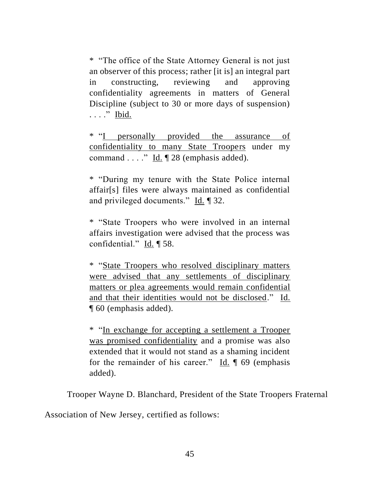\* "The office of the State Attorney General is not just an observer of this process; rather [it is] an integral part in constructing, reviewing and approving confidentiality agreements in matters of General Discipline (subject to 30 or more days of suspension) . . . . " Ibid.

\* "I personally provided the assurance of confidentiality to many State Troopers under my command . . . ." Id. ¶ 28 (emphasis added).

\* "During my tenure with the State Police internal affair[s] files were always maintained as confidential and privileged documents." Id. ¶ 32.

\* "State Troopers who were involved in an internal affairs investigation were advised that the process was confidential." Id. ¶ 58.

\* "State Troopers who resolved disciplinary matters were advised that any settlements of disciplinary matters or plea agreements would remain confidential and that their identities would not be disclosed." Id. ¶ 60 (emphasis added).

\* "In exchange for accepting a settlement a Trooper was promised confidentiality and a promise was also extended that it would not stand as a shaming incident for the remainder of his career." Id. ¶ 69 (emphasis added).

Trooper Wayne D. Blanchard, President of the State Troopers Fraternal

Association of New Jersey, certified as follows: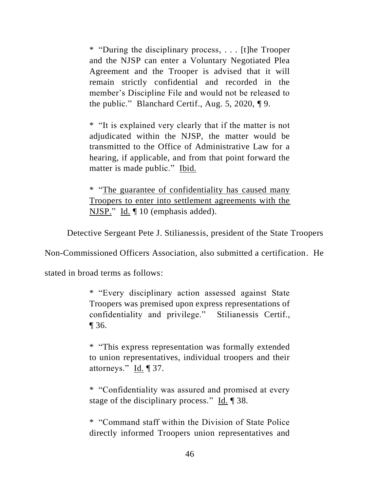\* "During the disciplinary process, . . . [t]he Trooper and the NJSP can enter a Voluntary Negotiated Plea Agreement and the Trooper is advised that it will remain strictly confidential and recorded in the member's Discipline File and would not be released to the public." Blanchard Certif., Aug. 5, 2020, ¶ 9.

\* "It is explained very clearly that if the matter is not adjudicated within the NJSP, the matter would be transmitted to the Office of Administrative Law for a hearing, if applicable, and from that point forward the matter is made public." Ibid.

\* "The guarantee of confidentiality has caused many Troopers to enter into settlement agreements with the NJSP." Id. ¶ 10 (emphasis added).

Detective Sergeant Pete J. Stilianessis, president of the State Troopers

Non-Commissioned Officers Association, also submitted a certification. He

stated in broad terms as follows:

\* "Every disciplinary action assessed against State Troopers was premised upon express representations of confidentiality and privilege." Stilianessis Certif.,  $\P$  36.

\* "This express representation was formally extended to union representatives, individual troopers and their attorneys."  $\underline{Id}$ . 137.

\* "Confidentiality was assured and promised at every stage of the disciplinary process." Id. ¶ 38.

\* "Command staff within the Division of State Police directly informed Troopers union representatives and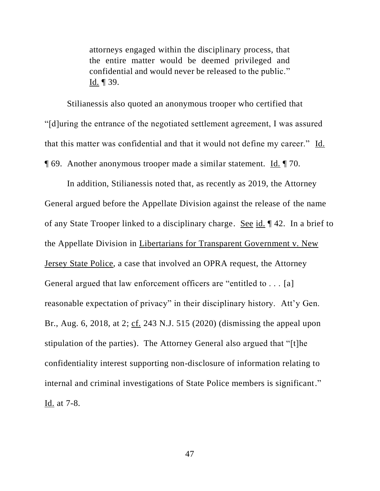attorneys engaged within the disciplinary process, that the entire matter would be deemed privileged and confidential and would never be released to the public." Id.  $\P$  39.

Stilianessis also quoted an anonymous trooper who certified that "[d]uring the entrance of the negotiated settlement agreement, I was assured that this matter was confidential and that it would not define my career." Id. ¶ 69. Another anonymous trooper made a similar statement. Id. ¶ 70.

In addition, Stilianessis noted that, as recently as 2019, the Attorney General argued before the Appellate Division against the release of the name of any State Trooper linked to a disciplinary charge. See id. ¶ 42. In a brief to the Appellate Division in Libertarians for Transparent Government v. New Jersey State Police, a case that involved an OPRA request, the Attorney General argued that law enforcement officers are "entitled to . . . [a] reasonable expectation of privacy" in their disciplinary history. Att'y Gen. Br., Aug. 6, 2018, at 2; cf. 243 N.J. 515 (2020) (dismissing the appeal upon stipulation of the parties).The Attorney General also argued that "[t]he confidentiality interest supporting non-disclosure of information relating to internal and criminal investigations of State Police members is significant." Id. at 7-8.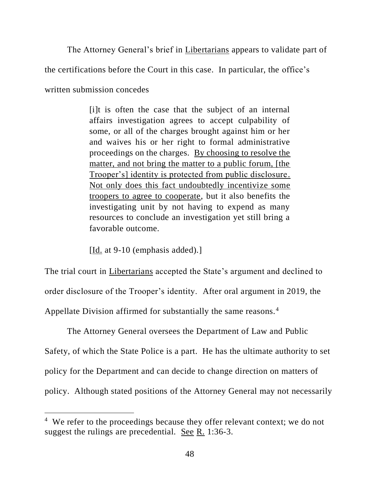The Attorney General's brief in Libertarians appears to validate part of

the certifications before the Court in this case. In particular, the office's

written submission concedes

[i]t is often the case that the subject of an internal affairs investigation agrees to accept culpability of some, or all of the charges brought against him or her and waives his or her right to formal administrative proceedings on the charges. By choosing to resolve the matter, and not bring the matter to a public forum, [the Trooper's] identity is protected from public disclosure. Not only does this fact undoubtedly incentivize some troopers to agree to cooperate, but it also benefits the investigating unit by not having to expend as many resources to conclude an investigation yet still bring a favorable outcome.

[Id. at  $9-10$  (emphasis added).]

The trial court in Libertarians accepted the State's argument and declined to order disclosure of the Trooper's identity. After oral argument in 2019, the Appellate Division affirmed for substantially the same reasons.<sup>4</sup>

The Attorney General oversees the Department of Law and Public Safety, of which the State Police is a part. He has the ultimate authority to set policy for the Department and can decide to change direction on matters of policy. Although stated positions of the Attorney General may not necessarily

<sup>&</sup>lt;sup>4</sup> We refer to the proceedings because they offer relevant context; we do not suggest the rulings are precedential. See R. 1:36-3.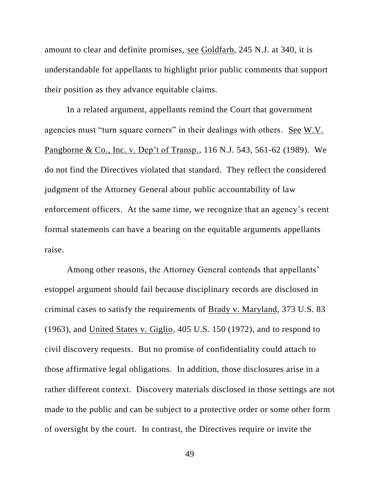amount to clear and definite promises, see Goldfarb, 245 N.J. at 340, it is understandable for appellants to highlight prior public comments that support their position as they advance equitable claims.

In a related argument, appellants remind the Court that government agencies must "turn square corners" in their dealings with others. See W.V. Pangborne & Co., Inc. v. Dep't of Transp., 116 N.J. 543, 561-62 (1989). We do not find the Directives violated that standard. They reflect the considered judgment of the Attorney General about public accountability of law enforcement officers. At the same time, we recognize that an agency's recent formal statements can have a bearing on the equitable arguments appellants raise.

Among other reasons, the Attorney General contends that appellants' estoppel argument should fail because disciplinary records are disclosed in criminal cases to satisfy the requirements of Brady v. Maryland, 373 U.S. 83 (1963), and United States v. Giglio, 405 U.S. 150 (1972), and to respond to civil discovery requests. But no promise of confidentiality could attach to those affirmative legal obligations. In addition, those disclosures arise in a rather different context. Discovery materials disclosed in those settings are not made to the public and can be subject to a protective order or some other form of oversight by the court. In contrast, the Directives require or invite the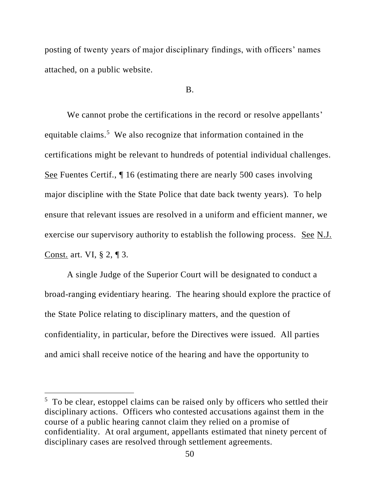posting of twenty years of major disciplinary findings, with officers' names attached, on a public website.

B.

We cannot probe the certifications in the record or resolve appellants' equitable claims.<sup>5</sup> We also recognize that information contained in the certifications might be relevant to hundreds of potential individual challenges. See Fuentes Certif., ¶ 16 (estimating there are nearly 500 cases involving major discipline with the State Police that date back twenty years). To help ensure that relevant issues are resolved in a uniform and efficient manner, we exercise our supervisory authority to establish the following process. See N.J. Const. art. VI, § 2, ¶ 3.

A single Judge of the Superior Court will be designated to conduct a broad-ranging evidentiary hearing. The hearing should explore the practice of the State Police relating to disciplinary matters, and the question of confidentiality, in particular, before the Directives were issued. All parties and amici shall receive notice of the hearing and have the opportunity to

 $5$  To be clear, estoppel claims can be raised only by officers who settled their disciplinary actions. Officers who contested accusations against them in the course of a public hearing cannot claim they relied on a promise of confidentiality. At oral argument, appellants estimated that ninety percent of disciplinary cases are resolved through settlement agreements.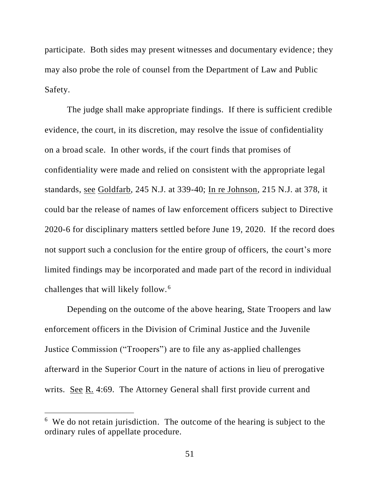participate. Both sides may present witnesses and documentary evidence; they may also probe the role of counsel from the Department of Law and Public Safety.

The judge shall make appropriate findings. If there is sufficient credible evidence, the court, in its discretion, may resolve the issue of confidentiality on a broad scale. In other words, if the court finds that promises of confidentiality were made and relied on consistent with the appropriate legal standards, see Goldfarb, 245 N.J. at 339-40; In re Johnson, 215 N.J. at 378, it could bar the release of names of law enforcement officers subject to Directive 2020-6 for disciplinary matters settled before June 19, 2020. If the record does not support such a conclusion for the entire group of officers, the court's more limited findings may be incorporated and made part of the record in individual challenges that will likely follow. <sup>6</sup>

Depending on the outcome of the above hearing, State Troopers and law enforcement officers in the Division of Criminal Justice and the Juvenile Justice Commission ("Troopers") are to file any as-applied challenges afterward in the Superior Court in the nature of actions in lieu of prerogative writs. See R. 4:69. The Attorney General shall first provide current and

<sup>&</sup>lt;sup>6</sup> We do not retain jurisdiction. The outcome of the hearing is subject to the ordinary rules of appellate procedure.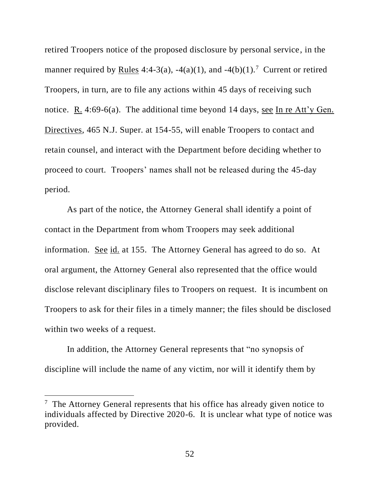retired Troopers notice of the proposed disclosure by personal service, in the manner required by <u>Rules</u> 4:4-3(a), -4(a)(1), and -4(b)(1).<sup>7</sup> Current or retired Troopers, in turn, are to file any actions within 45 days of receiving such notice. R. 4:69-6(a). The additional time beyond 14 days, see In re Att'y Gen. Directives, 465 N.J. Super. at 154-55, will enable Troopers to contact and retain counsel, and interact with the Department before deciding whether to proceed to court. Troopers' names shall not be released during the 45-day period.

As part of the notice, the Attorney General shall identify a point of contact in the Department from whom Troopers may seek additional information. See id. at 155. The Attorney General has agreed to do so. At oral argument, the Attorney General also represented that the office would disclose relevant disciplinary files to Troopers on request. It is incumbent on Troopers to ask for their files in a timely manner; the files should be disclosed within two weeks of a request.

In addition, the Attorney General represents that "no synopsis of discipline will include the name of any victim, nor will it identify them by

 $7$  The Attorney General represents that his office has already given notice to individuals affected by Directive 2020-6. It is unclear what type of notice was provided.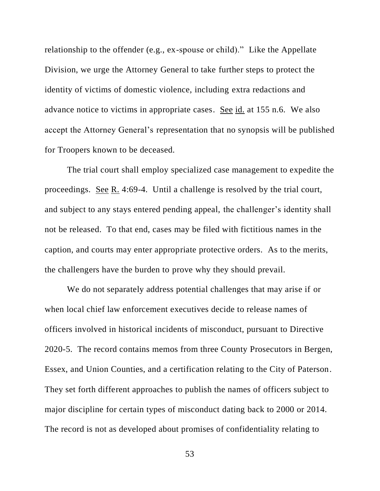relationship to the offender (e.g., ex-spouse or child)." Like the Appellate Division, we urge the Attorney General to take further steps to protect the identity of victims of domestic violence, including extra redactions and advance notice to victims in appropriate cases. See id. at 155 n.6. We also accept the Attorney General's representation that no synopsis will be published for Troopers known to be deceased.

The trial court shall employ specialized case management to expedite the proceedings. See R. 4:69-4. Until a challenge is resolved by the trial court, and subject to any stays entered pending appeal, the challenger's identity shall not be released. To that end, cases may be filed with fictitious names in the caption, and courts may enter appropriate protective orders. As to the merits, the challengers have the burden to prove why they should prevail.

We do not separately address potential challenges that may arise if or when local chief law enforcement executives decide to release names of officers involved in historical incidents of misconduct, pursuant to Directive 2020-5. The record contains memos from three County Prosecutors in Bergen, Essex, and Union Counties, and a certification relating to the City of Paterson. They set forth different approaches to publish the names of officers subject to major discipline for certain types of misconduct dating back to 2000 or 2014. The record is not as developed about promises of confidentiality relating to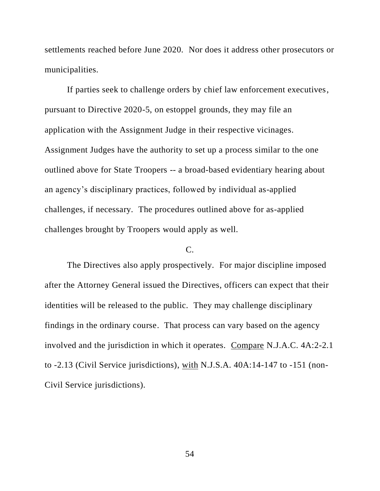settlements reached before June 2020. Nor does it address other prosecutors or municipalities.

If parties seek to challenge orders by chief law enforcement executives, pursuant to Directive 2020-5, on estoppel grounds, they may file an application with the Assignment Judge in their respective vicinages. Assignment Judges have the authority to set up a process similar to the one outlined above for State Troopers -- a broad-based evidentiary hearing about an agency's disciplinary practices, followed by individual as-applied challenges, if necessary. The procedures outlined above for as-applied challenges brought by Troopers would apply as well.

# $C_{\cdot}$

The Directives also apply prospectively. For major discipline imposed after the Attorney General issued the Directives, officers can expect that their identities will be released to the public. They may challenge disciplinary findings in the ordinary course. That process can vary based on the agency involved and the jurisdiction in which it operates. Compare N.J.A.C. 4A:2-2.1 to -2.13 (Civil Service jurisdictions), with N.J.S.A. 40A:14-147 to -151 (non-Civil Service jurisdictions).